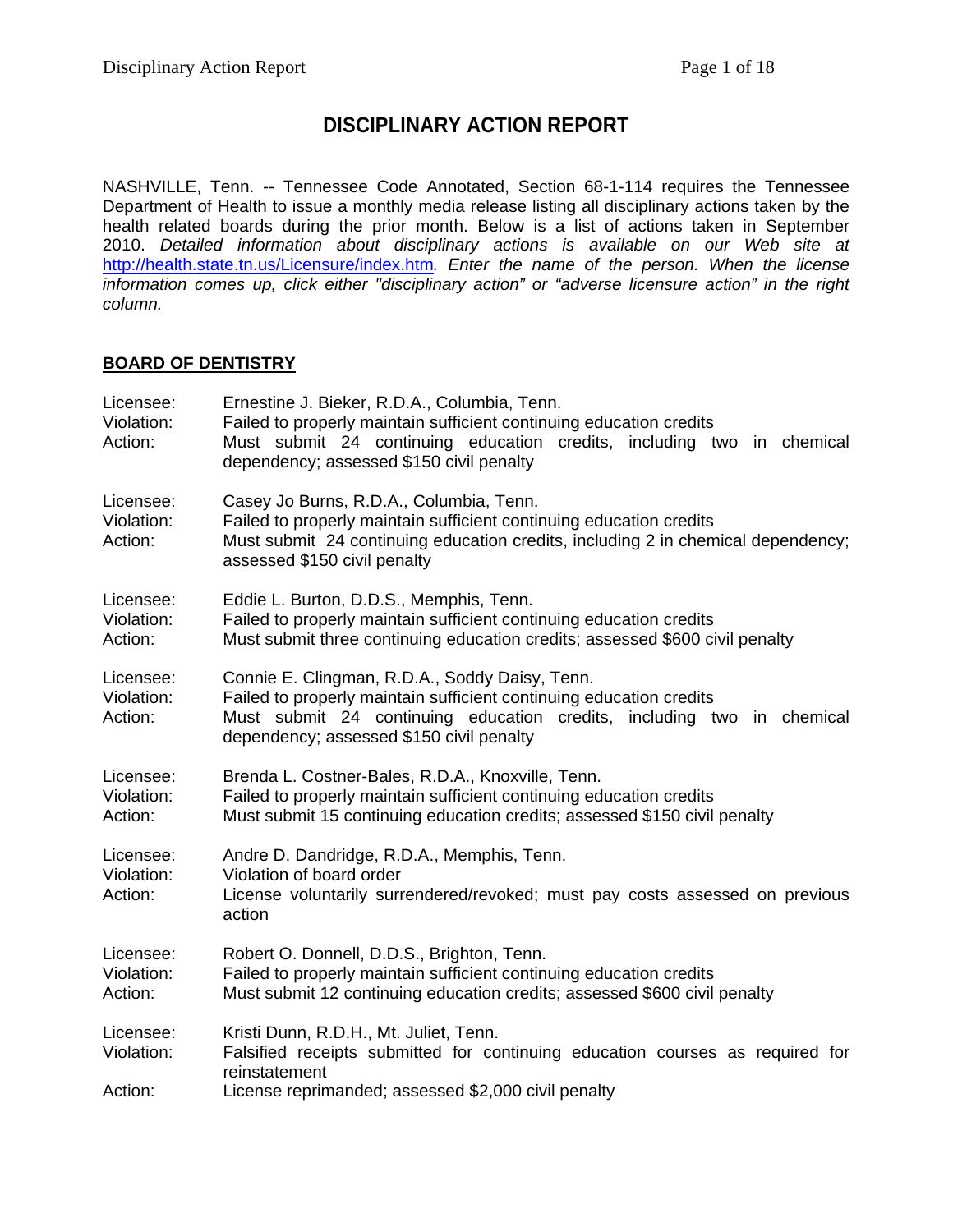# **DISCIPLINARY ACTION REPORT**

NASHVILLE, Tenn. -- Tennessee Code Annotated, Section 68-1-114 requires the Tennessee Department of Health to issue a monthly media release listing all disciplinary actions taken by the health related boards during the prior month. Below is a list of actions taken in September 2010. *Detailed information about disciplinary actions is available on our Web site at*  <http://health.state.tn.us/Licensure/index.htm>*. Enter the name of the person. When the license information comes up, click either "disciplinary action" or "adverse licensure action" in the right column.* 

#### **BOARD OF DENTISTRY**

| Licensee:<br>Violation:<br>Action: | Ernestine J. Bieker, R.D.A., Columbia, Tenn.<br>Failed to properly maintain sufficient continuing education credits<br>Must submit 24 continuing education credits, including two in chemical<br>dependency; assessed \$150 civil penalty   |
|------------------------------------|---------------------------------------------------------------------------------------------------------------------------------------------------------------------------------------------------------------------------------------------|
| Licensee:<br>Violation:<br>Action: | Casey Jo Burns, R.D.A., Columbia, Tenn.<br>Failed to properly maintain sufficient continuing education credits<br>Must submit 24 continuing education credits, including 2 in chemical dependency;<br>assessed \$150 civil penalty          |
| Licensee:<br>Violation:<br>Action: | Eddie L. Burton, D.D.S., Memphis, Tenn.<br>Failed to properly maintain sufficient continuing education credits<br>Must submit three continuing education credits; assessed \$600 civil penalty                                              |
| Licensee:<br>Violation:<br>Action: | Connie E. Clingman, R.D.A., Soddy Daisy, Tenn.<br>Failed to properly maintain sufficient continuing education credits<br>Must submit 24 continuing education credits, including two in chemical<br>dependency; assessed \$150 civil penalty |
| Licensee:<br>Violation:<br>Action: | Brenda L. Costner-Bales, R.D.A., Knoxville, Tenn.<br>Failed to properly maintain sufficient continuing education credits<br>Must submit 15 continuing education credits; assessed \$150 civil penalty                                       |
| Licensee:<br>Violation:<br>Action: | Andre D. Dandridge, R.D.A., Memphis, Tenn.<br>Violation of board order<br>License voluntarily surrendered/revoked; must pay costs assessed on previous<br>action                                                                            |
| Licensee:<br>Violation:<br>Action: | Robert O. Donnell, D.D.S., Brighton, Tenn.<br>Failed to properly maintain sufficient continuing education credits<br>Must submit 12 continuing education credits; assessed \$600 civil penalty                                              |
| Licensee:<br>Violation:<br>Action: | Kristi Dunn, R.D.H., Mt. Juliet, Tenn.<br>Falsified receipts submitted for continuing education courses as required for<br>reinstatement<br>License reprimanded; assessed \$2,000 civil penalty                                             |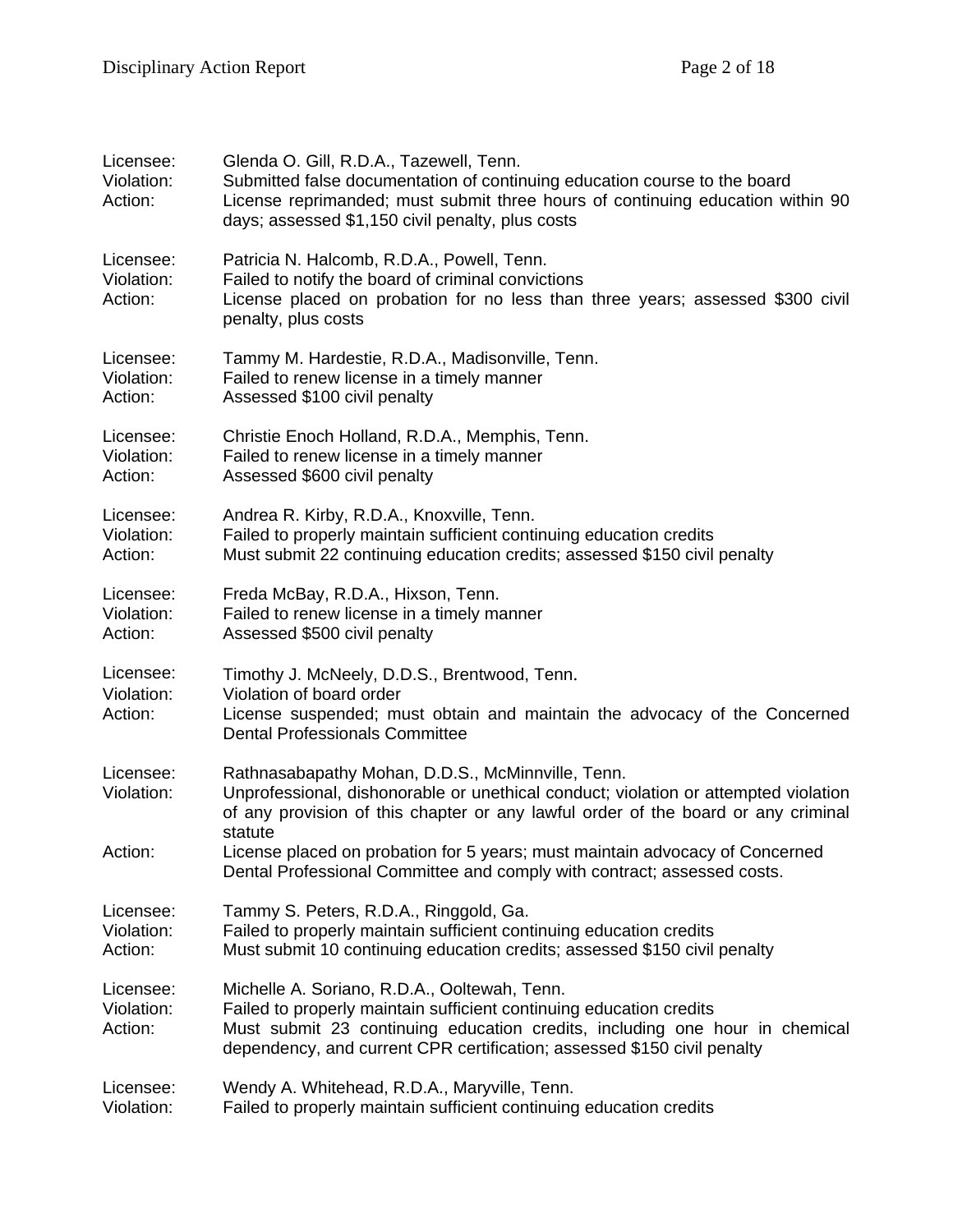| Licensee:<br>Violation:<br>Action: | Glenda O. Gill, R.D.A., Tazewell, Tenn.<br>Submitted false documentation of continuing education course to the board<br>License reprimanded; must submit three hours of continuing education within 90<br>days; assessed \$1,150 civil penalty, plus costs                    |
|------------------------------------|-------------------------------------------------------------------------------------------------------------------------------------------------------------------------------------------------------------------------------------------------------------------------------|
| Licensee:<br>Violation:<br>Action: | Patricia N. Halcomb, R.D.A., Powell, Tenn.<br>Failed to notify the board of criminal convictions<br>License placed on probation for no less than three years; assessed \$300 civil<br>penalty, plus costs                                                                     |
| Licensee:                          | Tammy M. Hardestie, R.D.A., Madisonville, Tenn.                                                                                                                                                                                                                               |
| Violation:                         | Failed to renew license in a timely manner                                                                                                                                                                                                                                    |
| Action:                            | Assessed \$100 civil penalty                                                                                                                                                                                                                                                  |
| Licensee:                          | Christie Enoch Holland, R.D.A., Memphis, Tenn.                                                                                                                                                                                                                                |
| Violation:                         | Failed to renew license in a timely manner                                                                                                                                                                                                                                    |
| Action:                            | Assessed \$600 civil penalty                                                                                                                                                                                                                                                  |
| Licensee:                          | Andrea R. Kirby, R.D.A., Knoxville, Tenn.                                                                                                                                                                                                                                     |
| Violation:                         | Failed to properly maintain sufficient continuing education credits                                                                                                                                                                                                           |
| Action:                            | Must submit 22 continuing education credits; assessed \$150 civil penalty                                                                                                                                                                                                     |
| Licensee:                          | Freda McBay, R.D.A., Hixson, Tenn.                                                                                                                                                                                                                                            |
| Violation:                         | Failed to renew license in a timely manner                                                                                                                                                                                                                                    |
| Action:                            | Assessed \$500 civil penalty                                                                                                                                                                                                                                                  |
| Licensee:<br>Violation:<br>Action: | Timothy J. McNeely, D.D.S., Brentwood, Tenn.<br>Violation of board order<br>License suspended; must obtain and maintain the advocacy of the Concerned<br><b>Dental Professionals Committee</b>                                                                                |
| Licensee:<br>Violation:            | Rathnasabapathy Mohan, D.D.S., McMinnville, Tenn.<br>Unprofessional, dishonorable or unethical conduct; violation or attempted violation<br>of any provision of this chapter or any lawful order of the board or any criminal<br>statute                                      |
| Action:                            | License placed on probation for 5 years; must maintain advocacy of Concerned<br>Dental Professional Committee and comply with contract; assessed costs.                                                                                                                       |
| Licensee:                          | Tammy S. Peters, R.D.A., Ringgold, Ga.                                                                                                                                                                                                                                        |
| Violation:                         | Failed to properly maintain sufficient continuing education credits                                                                                                                                                                                                           |
| Action:                            | Must submit 10 continuing education credits; assessed \$150 civil penalty                                                                                                                                                                                                     |
| Licensee:<br>Violation:<br>Action: | Michelle A. Soriano, R.D.A., Ooltewah, Tenn.<br>Failed to properly maintain sufficient continuing education credits<br>Must submit 23 continuing education credits, including one hour in chemical<br>dependency, and current CPR certification; assessed \$150 civil penalty |
| Licensee:                          | Wendy A. Whitehead, R.D.A., Maryville, Tenn.                                                                                                                                                                                                                                  |
| Violation:                         | Failed to properly maintain sufficient continuing education credits                                                                                                                                                                                                           |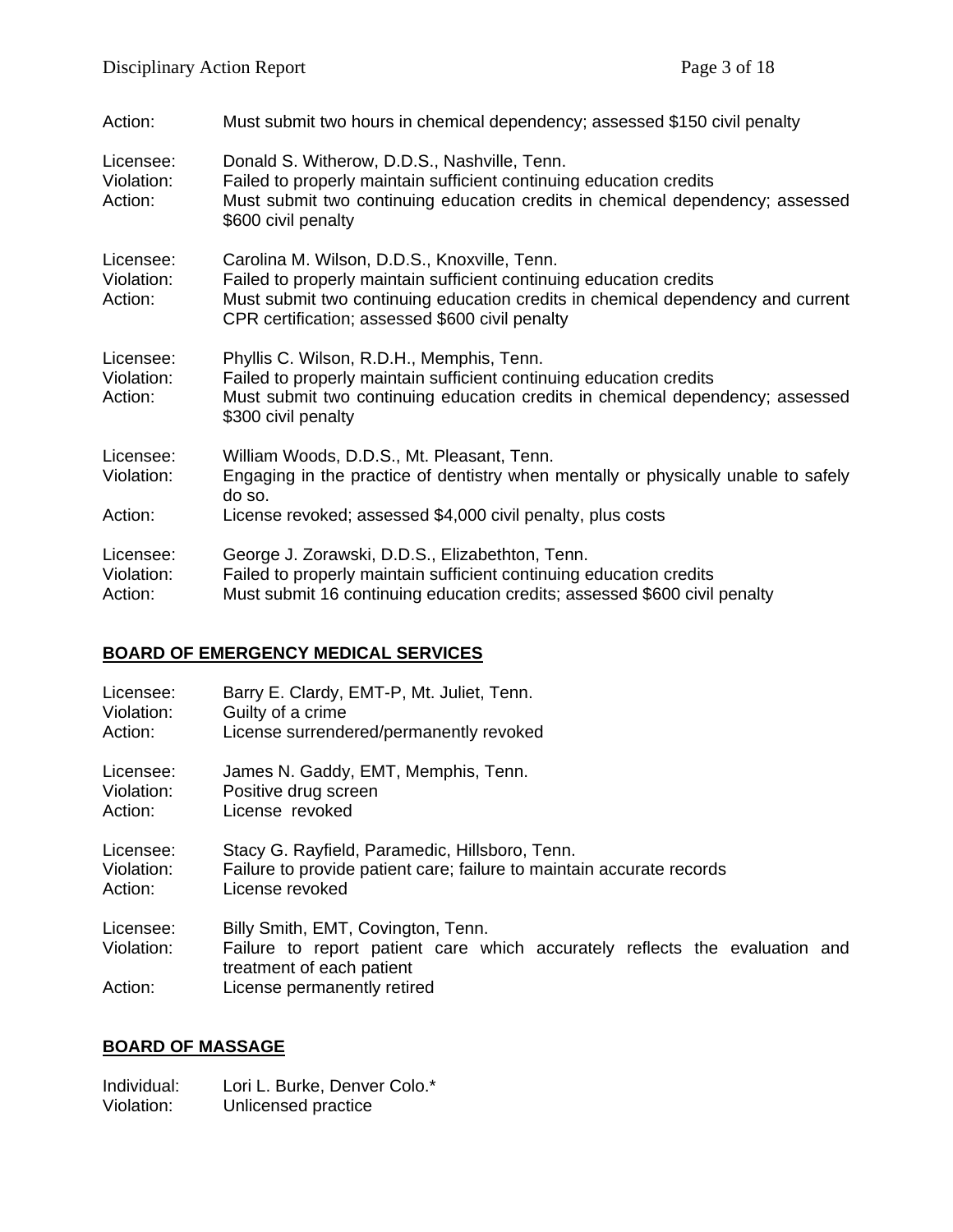| Action:                            | Must submit two hours in chemical dependency; assessed \$150 civil penalty                                                                                                                                                                                |
|------------------------------------|-----------------------------------------------------------------------------------------------------------------------------------------------------------------------------------------------------------------------------------------------------------|
| Licensee:<br>Violation:<br>Action: | Donald S. Witherow, D.D.S., Nashville, Tenn.<br>Failed to properly maintain sufficient continuing education credits<br>Must submit two continuing education credits in chemical dependency; assessed<br>\$600 civil penalty                               |
| Licensee:<br>Violation:<br>Action: | Carolina M. Wilson, D.D.S., Knoxville, Tenn.<br>Failed to properly maintain sufficient continuing education credits<br>Must submit two continuing education credits in chemical dependency and current<br>CPR certification; assessed \$600 civil penalty |
| Licensee:<br>Violation:<br>Action: | Phyllis C. Wilson, R.D.H., Memphis, Tenn.<br>Failed to properly maintain sufficient continuing education credits<br>Must submit two continuing education credits in chemical dependency; assessed<br>\$300 civil penalty                                  |
| Licensee:<br>Violation:            | William Woods, D.D.S., Mt. Pleasant, Tenn.<br>Engaging in the practice of dentistry when mentally or physically unable to safely<br>do so.                                                                                                                |
| Action:                            | License revoked; assessed \$4,000 civil penalty, plus costs                                                                                                                                                                                               |
| Licensee:<br>Violation:<br>Action: | George J. Zorawski, D.D.S., Elizabethton, Tenn.<br>Failed to properly maintain sufficient continuing education credits<br>Must submit 16 continuing education credits; assessed \$600 civil penalty                                                       |

### **BOARD OF EMERGENCY MEDICAL SERVICES**

| Licensee:               | Barry E. Clardy, EMT-P, Mt. Juliet, Tenn.                                                                                                      |
|-------------------------|------------------------------------------------------------------------------------------------------------------------------------------------|
| Violation:              | Guilty of a crime                                                                                                                              |
| Action:                 | License surrendered/permanently revoked                                                                                                        |
| Licensee:               | James N. Gaddy, EMT, Memphis, Tenn.                                                                                                            |
| Violation:              | Positive drug screen                                                                                                                           |
| Action:                 | License revoked                                                                                                                                |
| Licensee:               | Stacy G. Rayfield, Paramedic, Hillsboro, Tenn.                                                                                                 |
| Violation:              | Failure to provide patient care; failure to maintain accurate records                                                                          |
| Action:                 | License revoked                                                                                                                                |
| Licensee:<br>Violation: | Billy Smith, EMT, Covington, Tenn.<br>Failure to report patient care which accurately reflects the evaluation and<br>treatment of each patient |
| Action:                 | License permanently retired                                                                                                                    |

## **BOARD OF MASSAGE**

Individual: Lori L. Burke, Denver Colo.\* Violation: Unlicensed practice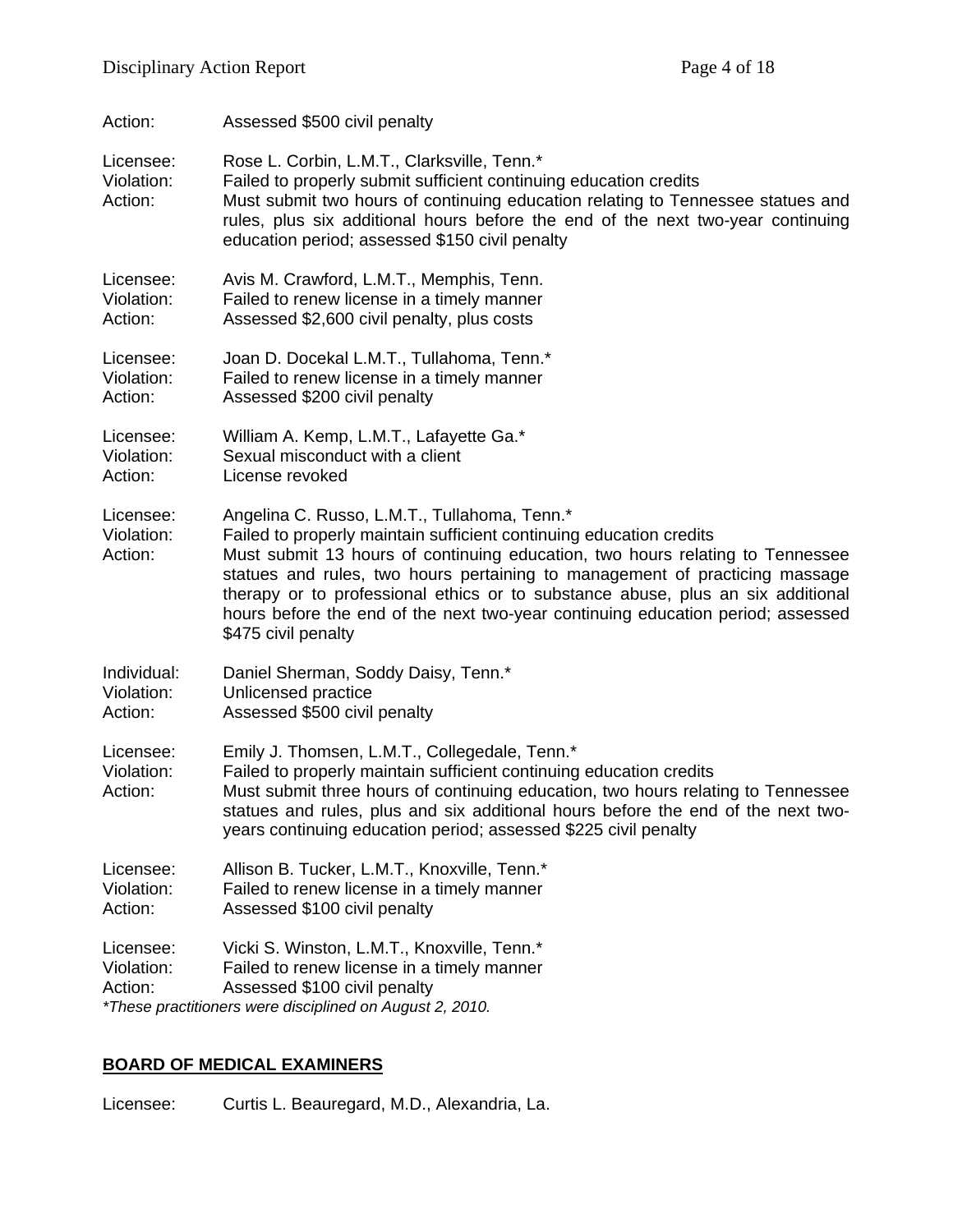| Action:                            | Assessed \$500 civil penalty                                                                                                                                                                                                                                                                                                                                                                                                                                                     |
|------------------------------------|----------------------------------------------------------------------------------------------------------------------------------------------------------------------------------------------------------------------------------------------------------------------------------------------------------------------------------------------------------------------------------------------------------------------------------------------------------------------------------|
| Licensee:<br>Violation:<br>Action: | Rose L. Corbin, L.M.T., Clarksville, Tenn.*<br>Failed to properly submit sufficient continuing education credits<br>Must submit two hours of continuing education relating to Tennessee statues and<br>rules, plus six additional hours before the end of the next two-year continuing<br>education period; assessed \$150 civil penalty                                                                                                                                         |
| Licensee:                          | Avis M. Crawford, L.M.T., Memphis, Tenn.                                                                                                                                                                                                                                                                                                                                                                                                                                         |
| Violation:                         | Failed to renew license in a timely manner                                                                                                                                                                                                                                                                                                                                                                                                                                       |
| Action:                            | Assessed \$2,600 civil penalty, plus costs                                                                                                                                                                                                                                                                                                                                                                                                                                       |
| Licensee:                          | Joan D. Docekal L.M.T., Tullahoma, Tenn.*                                                                                                                                                                                                                                                                                                                                                                                                                                        |
| Violation:                         | Failed to renew license in a timely manner                                                                                                                                                                                                                                                                                                                                                                                                                                       |
| Action:                            | Assessed \$200 civil penalty                                                                                                                                                                                                                                                                                                                                                                                                                                                     |
| Licensee:                          | William A. Kemp, L.M.T., Lafayette Ga.*                                                                                                                                                                                                                                                                                                                                                                                                                                          |
| Violation:                         | Sexual misconduct with a client                                                                                                                                                                                                                                                                                                                                                                                                                                                  |
| Action:                            | License revoked                                                                                                                                                                                                                                                                                                                                                                                                                                                                  |
| Licensee:<br>Violation:<br>Action: | Angelina C. Russo, L.M.T., Tullahoma, Tenn.*<br>Failed to properly maintain sufficient continuing education credits<br>Must submit 13 hours of continuing education, two hours relating to Tennessee<br>statues and rules, two hours pertaining to management of practicing massage<br>therapy or to professional ethics or to substance abuse, plus an six additional<br>hours before the end of the next two-year continuing education period; assessed<br>\$475 civil penalty |
| Individual:                        | Daniel Sherman, Soddy Daisy, Tenn.*                                                                                                                                                                                                                                                                                                                                                                                                                                              |
| Violation:                         | Unlicensed practice                                                                                                                                                                                                                                                                                                                                                                                                                                                              |
| Action:                            | Assessed \$500 civil penalty                                                                                                                                                                                                                                                                                                                                                                                                                                                     |
| Licensee:<br>Violation:<br>Action: | Emily J. Thomsen, L.M.T., Collegedale, Tenn.*<br>Failed to properly maintain sufficient continuing education credits<br>Must submit three hours of continuing education, two hours relating to Tennessee<br>statues and rules, plus and six additional hours before the end of the next two-<br>years continuing education period; assessed \$225 civil penalty                                                                                                                  |
| Licensee:                          | Allison B. Tucker, L.M.T., Knoxville, Tenn.*                                                                                                                                                                                                                                                                                                                                                                                                                                     |
| Violation:                         | Failed to renew license in a timely manner                                                                                                                                                                                                                                                                                                                                                                                                                                       |
| Action:                            | Assessed \$100 civil penalty                                                                                                                                                                                                                                                                                                                                                                                                                                                     |
| Licensee:<br>Violation:<br>Action: | Vicki S. Winston, L.M.T., Knoxville, Tenn.*<br>Failed to renew license in a timely manner<br>Assessed \$100 civil penalty<br>*These practitioners were disciplined on August 2, 2010.                                                                                                                                                                                                                                                                                            |

## **BOARD OF MEDICAL EXAMINERS**

Licensee: Curtis L. Beauregard, M.D., Alexandria, La.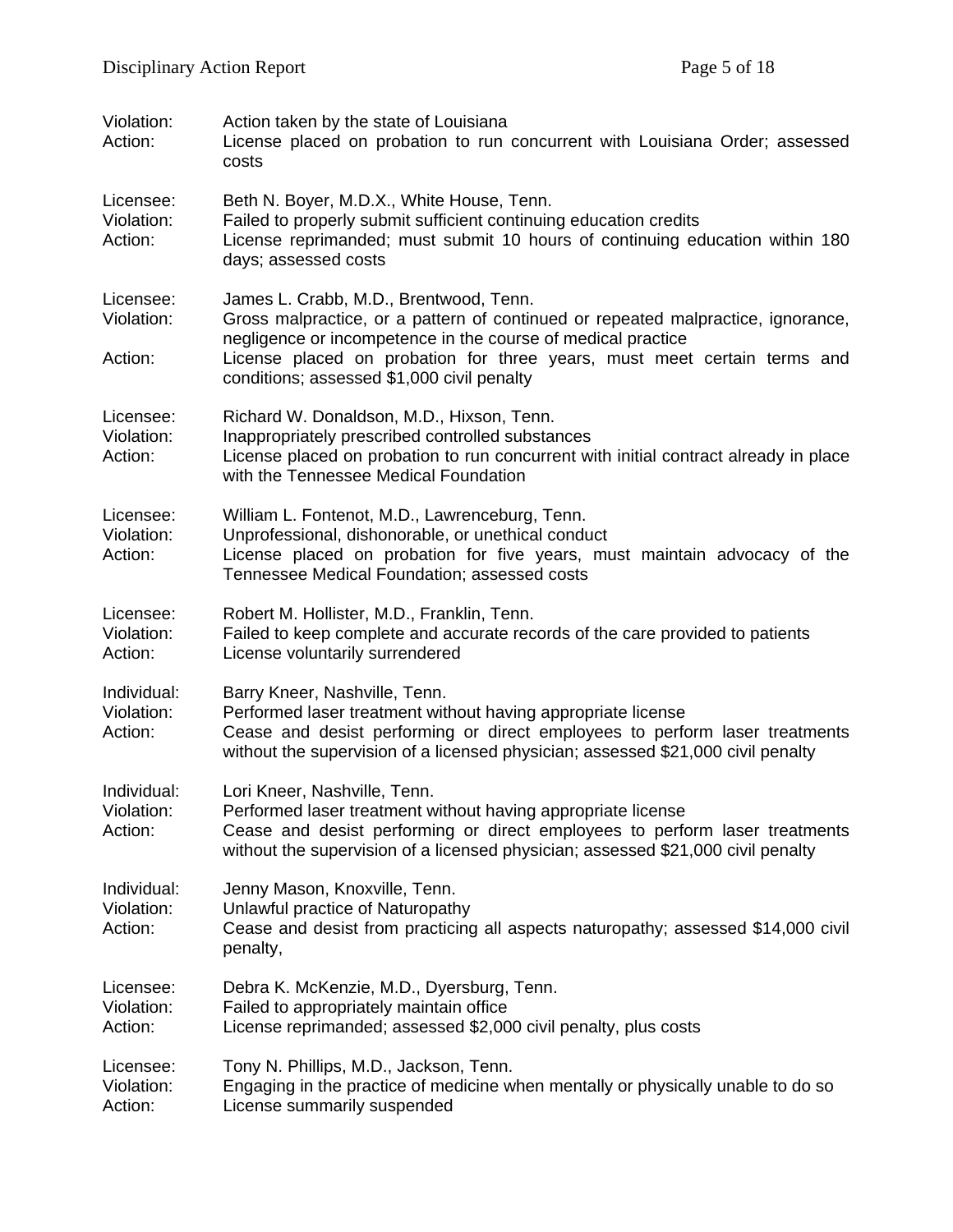| Violation:<br>Action:                | Action taken by the state of Louisiana<br>License placed on probation to run concurrent with Louisiana Order; assessed<br>costs                                                                                                                                                                                      |
|--------------------------------------|----------------------------------------------------------------------------------------------------------------------------------------------------------------------------------------------------------------------------------------------------------------------------------------------------------------------|
| Licensee:<br>Violation:<br>Action:   | Beth N. Boyer, M.D.X., White House, Tenn.<br>Failed to properly submit sufficient continuing education credits<br>License reprimanded; must submit 10 hours of continuing education within 180<br>days; assessed costs                                                                                               |
| Licensee:<br>Violation:<br>Action:   | James L. Crabb, M.D., Brentwood, Tenn.<br>Gross malpractice, or a pattern of continued or repeated malpractice, ignorance,<br>negligence or incompetence in the course of medical practice<br>License placed on probation for three years, must meet certain terms and<br>conditions; assessed \$1,000 civil penalty |
| Licensee:<br>Violation:<br>Action:   | Richard W. Donaldson, M.D., Hixson, Tenn.<br>Inappropriately prescribed controlled substances<br>License placed on probation to run concurrent with initial contract already in place<br>with the Tennessee Medical Foundation                                                                                       |
| Licensee:<br>Violation:<br>Action:   | William L. Fontenot, M.D., Lawrenceburg, Tenn.<br>Unprofessional, dishonorable, or unethical conduct<br>License placed on probation for five years, must maintain advocacy of the<br>Tennessee Medical Foundation; assessed costs                                                                                    |
| Licensee:<br>Violation:<br>Action:   | Robert M. Hollister, M.D., Franklin, Tenn.<br>Failed to keep complete and accurate records of the care provided to patients<br>License voluntarily surrendered                                                                                                                                                       |
| Individual:<br>Violation:<br>Action: | Barry Kneer, Nashville, Tenn.<br>Performed laser treatment without having appropriate license<br>Cease and desist performing or direct employees to perform laser treatments<br>without the supervision of a licensed physician; assessed \$21,000 civil penalty                                                     |
| Individual:<br>Violation:<br>Action: | Lori Kneer, Nashville, Tenn.<br>Performed laser treatment without having appropriate license<br>Cease and desist performing or direct employees to perform laser treatments<br>without the supervision of a licensed physician; assessed \$21,000 civil penalty                                                      |
| Individual:<br>Violation:<br>Action: | Jenny Mason, Knoxville, Tenn.<br>Unlawful practice of Naturopathy<br>Cease and desist from practicing all aspects naturopathy; assessed \$14,000 civil<br>penalty,                                                                                                                                                   |
| Licensee:<br>Violation:<br>Action:   | Debra K. McKenzie, M.D., Dyersburg, Tenn.<br>Failed to appropriately maintain office<br>License reprimanded; assessed \$2,000 civil penalty, plus costs                                                                                                                                                              |
| Licensee:<br>Violation:<br>Action:   | Tony N. Phillips, M.D., Jackson, Tenn.<br>Engaging in the practice of medicine when mentally or physically unable to do so<br>License summarily suspended                                                                                                                                                            |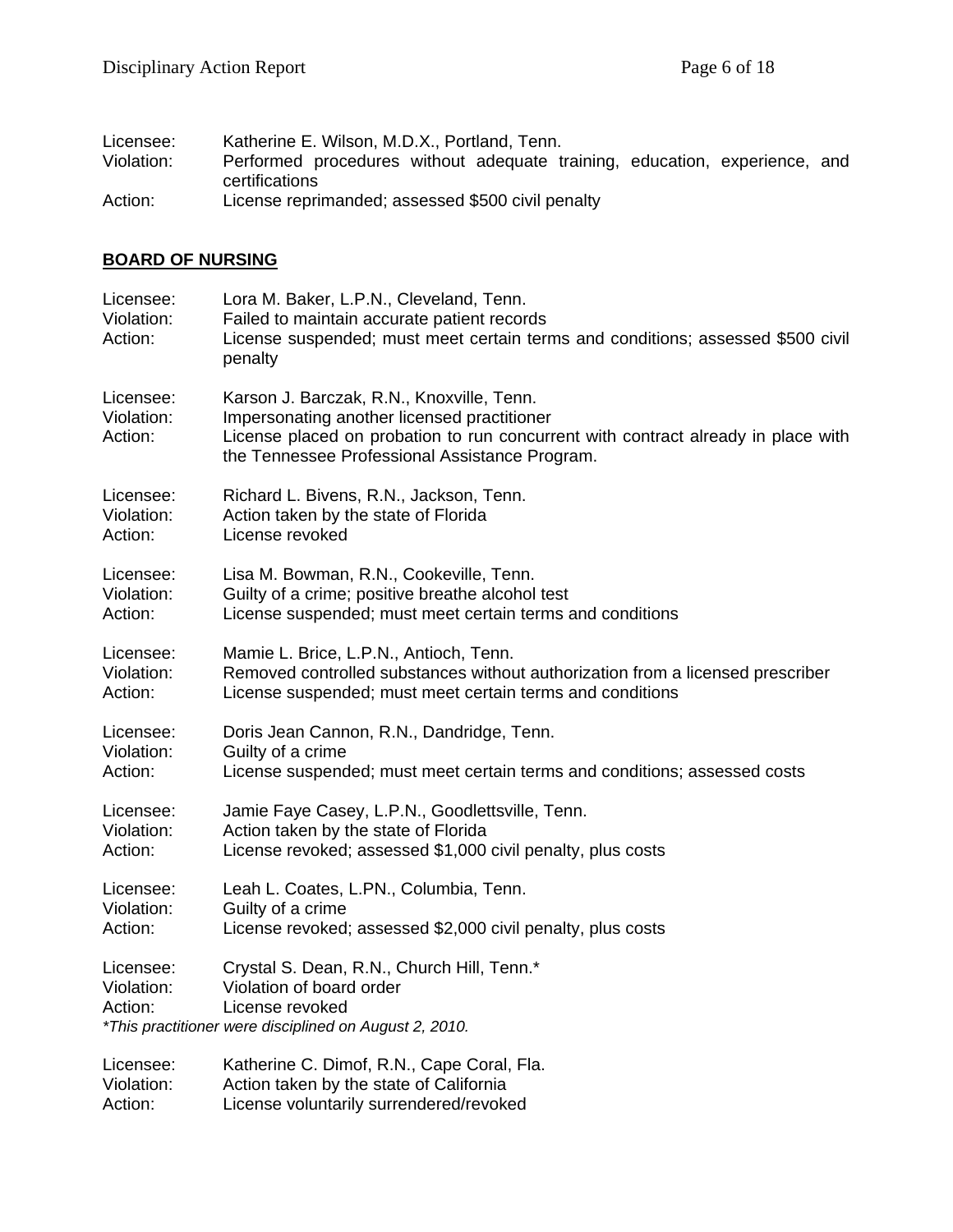| Licensee:  | Katherine E. Wilson, M.D.X., Portland, Tenn.                                                 |
|------------|----------------------------------------------------------------------------------------------|
| Violation: | Performed procedures without adequate training, education, experience, and<br>certifications |
| Action:    | License reprimanded; assessed \$500 civil penalty                                            |

## **BOARD OF NURSING**

| Licensee:<br>Violation:<br>Action: | Lora M. Baker, L.P.N., Cleveland, Tenn.<br>Failed to maintain accurate patient records<br>License suspended; must meet certain terms and conditions; assessed \$500 civil<br>penalty                                            |
|------------------------------------|---------------------------------------------------------------------------------------------------------------------------------------------------------------------------------------------------------------------------------|
| Licensee:<br>Violation:<br>Action: | Karson J. Barczak, R.N., Knoxville, Tenn.<br>Impersonating another licensed practitioner<br>License placed on probation to run concurrent with contract already in place with<br>the Tennessee Professional Assistance Program. |
| Licensee:                          | Richard L. Bivens, R.N., Jackson, Tenn.                                                                                                                                                                                         |
| Violation:                         | Action taken by the state of Florida                                                                                                                                                                                            |
| Action:                            | License revoked                                                                                                                                                                                                                 |
| Licensee:                          | Lisa M. Bowman, R.N., Cookeville, Tenn.                                                                                                                                                                                         |
| Violation:                         | Guilty of a crime; positive breathe alcohol test                                                                                                                                                                                |
| Action:                            | License suspended; must meet certain terms and conditions                                                                                                                                                                       |
| Licensee:                          | Mamie L. Brice, L.P.N., Antioch, Tenn.                                                                                                                                                                                          |
| Violation:                         | Removed controlled substances without authorization from a licensed prescriber                                                                                                                                                  |
| Action:                            | License suspended; must meet certain terms and conditions                                                                                                                                                                       |
| Licensee:                          | Doris Jean Cannon, R.N., Dandridge, Tenn.                                                                                                                                                                                       |
| Violation:                         | Guilty of a crime                                                                                                                                                                                                               |
| Action:                            | License suspended; must meet certain terms and conditions; assessed costs                                                                                                                                                       |
| Licensee:                          | Jamie Faye Casey, L.P.N., Goodlettsville, Tenn.                                                                                                                                                                                 |
| Violation:                         | Action taken by the state of Florida                                                                                                                                                                                            |
| Action:                            | License revoked; assessed \$1,000 civil penalty, plus costs                                                                                                                                                                     |
| Licensee:                          | Leah L. Coates, L.PN., Columbia, Tenn.                                                                                                                                                                                          |
| Violation:                         | Guilty of a crime                                                                                                                                                                                                               |
| Action:                            | License revoked; assessed \$2,000 civil penalty, plus costs                                                                                                                                                                     |
| Licensee:<br>Violation:<br>Action: | Crystal S. Dean, R.N., Church Hill, Tenn.*<br>Violation of board order<br>License revoked<br>*This practitioner were disciplined on August 2, 2010.                                                                             |
| Licensee:                          | Katherine C. Dimof, R.N., Cape Coral, Fla.                                                                                                                                                                                      |
| Violation:                         | Action taken by the state of California                                                                                                                                                                                         |
| Action:                            | License voluntarily surrendered/revoked                                                                                                                                                                                         |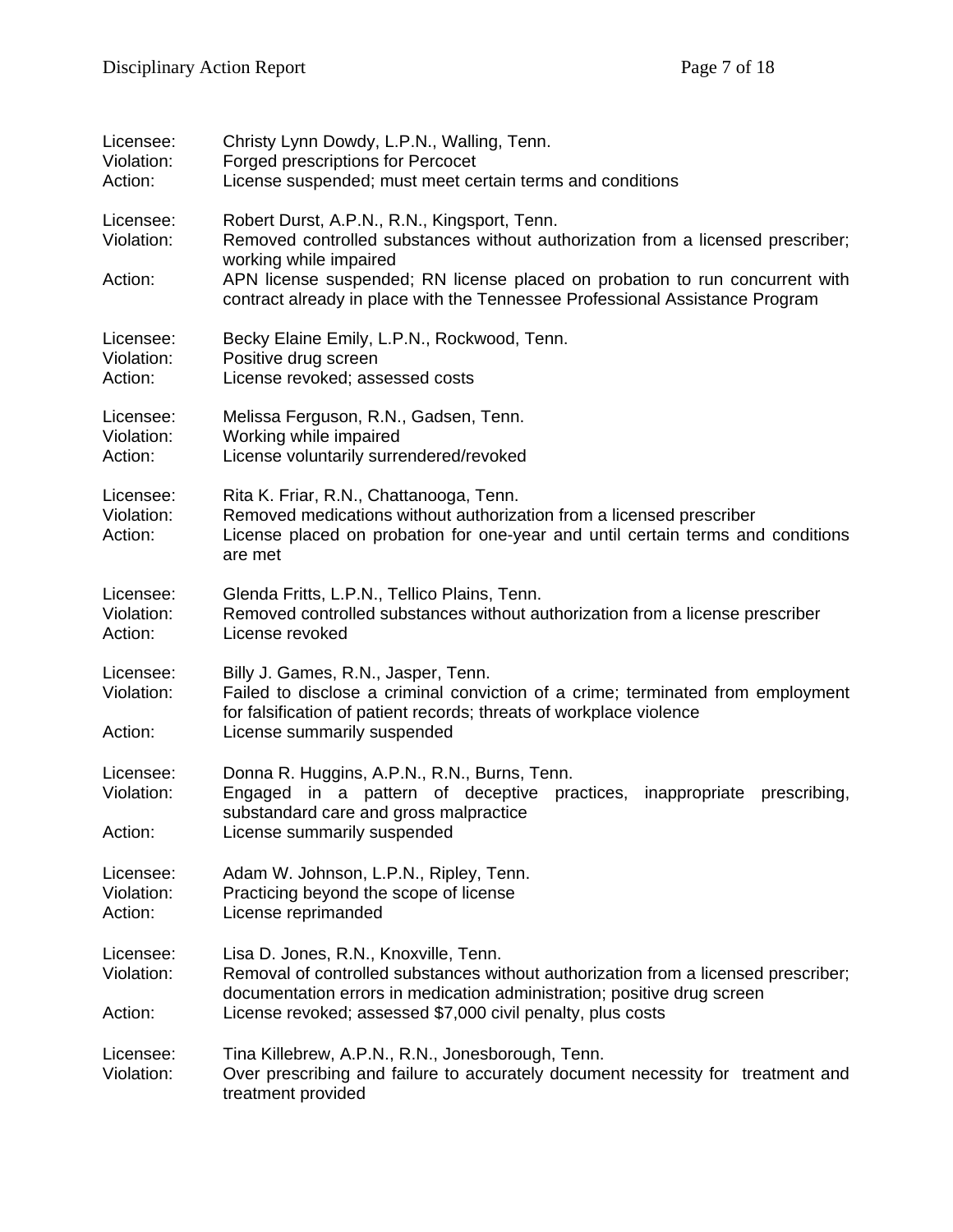| Licensee:<br>Violation:<br>Action: | Christy Lynn Dowdy, L.P.N., Walling, Tenn.<br>Forged prescriptions for Percocet<br>License suspended; must meet certain terms and conditions                                                                                                                          |
|------------------------------------|-----------------------------------------------------------------------------------------------------------------------------------------------------------------------------------------------------------------------------------------------------------------------|
| Licensee:<br>Violation:            | Robert Durst, A.P.N., R.N., Kingsport, Tenn.<br>Removed controlled substances without authorization from a licensed prescriber;<br>working while impaired                                                                                                             |
| Action:                            | APN license suspended; RN license placed on probation to run concurrent with<br>contract already in place with the Tennessee Professional Assistance Program                                                                                                          |
| Licensee:<br>Violation:<br>Action: | Becky Elaine Emily, L.P.N., Rockwood, Tenn.<br>Positive drug screen<br>License revoked; assessed costs                                                                                                                                                                |
| Licensee:<br>Violation:<br>Action: | Melissa Ferguson, R.N., Gadsen, Tenn.<br>Working while impaired<br>License voluntarily surrendered/revoked                                                                                                                                                            |
| Licensee:<br>Violation:<br>Action: | Rita K. Friar, R.N., Chattanooga, Tenn.<br>Removed medications without authorization from a licensed prescriber<br>License placed on probation for one-year and until certain terms and conditions<br>are met                                                         |
| Licensee:<br>Violation:<br>Action: | Glenda Fritts, L.P.N., Tellico Plains, Tenn.<br>Removed controlled substances without authorization from a license prescriber<br>License revoked                                                                                                                      |
| Licensee:<br>Violation:<br>Action: | Billy J. Games, R.N., Jasper, Tenn.<br>Failed to disclose a criminal conviction of a crime; terminated from employment<br>for falsification of patient records; threats of workplace violence<br>License summarily suspended                                          |
| Licensee:<br>Violation:<br>Action: | Donna R. Huggins, A.P.N., R.N., Burns, Tenn.<br>Engaged in a pattern of deceptive practices,<br>inappropriate<br>prescribing,<br>substandard care and gross malpractice<br>License summarily suspended                                                                |
| Licensee:<br>Violation:<br>Action: | Adam W. Johnson, L.P.N., Ripley, Tenn.<br>Practicing beyond the scope of license<br>License reprimanded                                                                                                                                                               |
| Licensee:<br>Violation:<br>Action: | Lisa D. Jones, R.N., Knoxville, Tenn.<br>Removal of controlled substances without authorization from a licensed prescriber;<br>documentation errors in medication administration; positive drug screen<br>License revoked; assessed \$7,000 civil penalty, plus costs |
| Licensee:<br>Violation:            | Tina Killebrew, A.P.N., R.N., Jonesborough, Tenn.<br>Over prescribing and failure to accurately document necessity for treatment and<br>treatment provided                                                                                                            |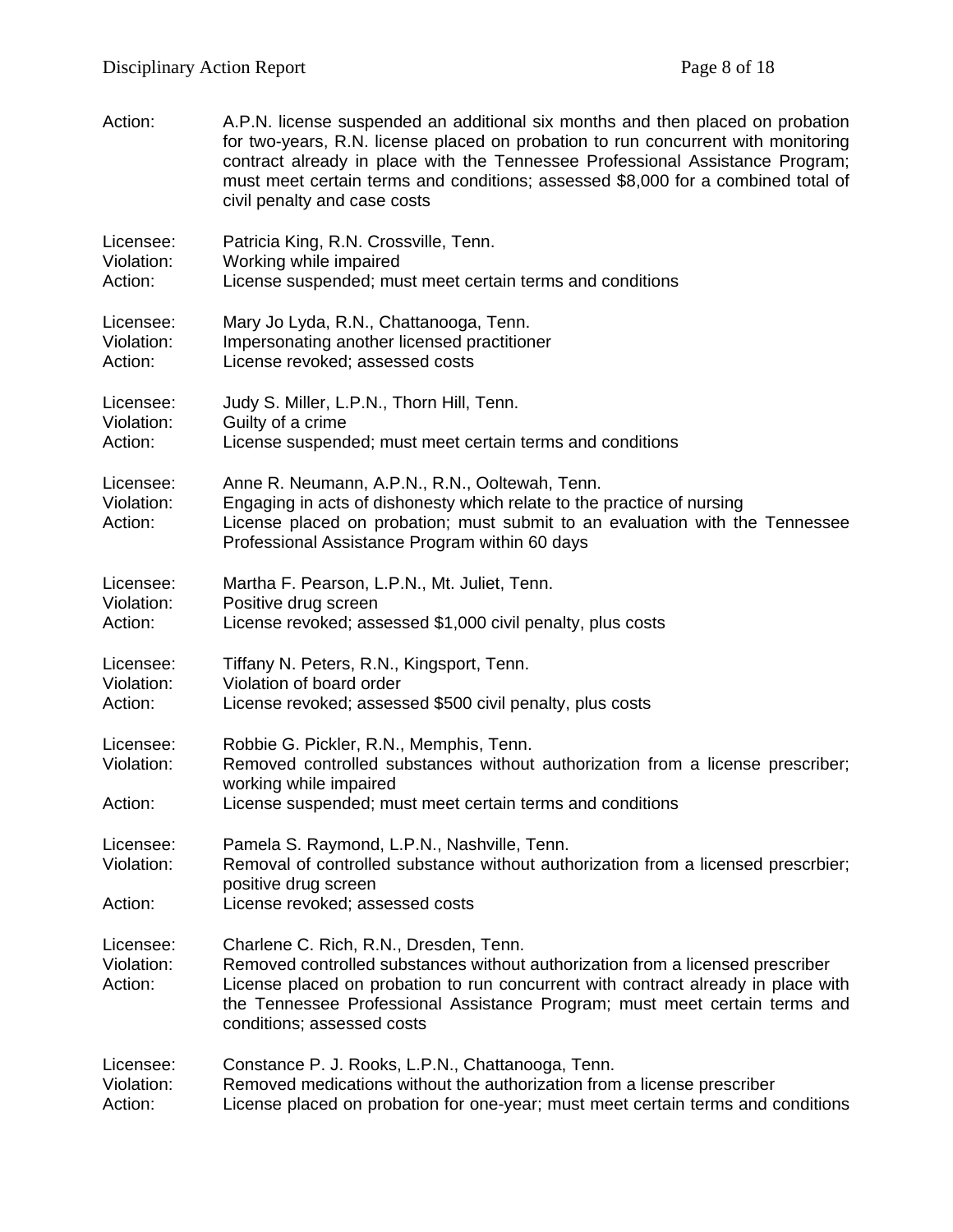| Action:                            | A.P.N. license suspended an additional six months and then placed on probation<br>for two-years, R.N. license placed on probation to run concurrent with monitoring<br>contract already in place with the Tennessee Professional Assistance Program;<br>must meet certain terms and conditions; assessed \$8,000 for a combined total of<br>civil penalty and case costs |
|------------------------------------|--------------------------------------------------------------------------------------------------------------------------------------------------------------------------------------------------------------------------------------------------------------------------------------------------------------------------------------------------------------------------|
| Licensee:                          | Patricia King, R.N. Crossville, Tenn.                                                                                                                                                                                                                                                                                                                                    |
| Violation:                         | Working while impaired                                                                                                                                                                                                                                                                                                                                                   |
| Action:                            | License suspended; must meet certain terms and conditions                                                                                                                                                                                                                                                                                                                |
| Licensee:                          | Mary Jo Lyda, R.N., Chattanooga, Tenn.                                                                                                                                                                                                                                                                                                                                   |
| Violation:                         | Impersonating another licensed practitioner                                                                                                                                                                                                                                                                                                                              |
| Action:                            | License revoked; assessed costs                                                                                                                                                                                                                                                                                                                                          |
| Licensee:                          | Judy S. Miller, L.P.N., Thorn Hill, Tenn.                                                                                                                                                                                                                                                                                                                                |
| Violation:                         | Guilty of a crime                                                                                                                                                                                                                                                                                                                                                        |
| Action:                            | License suspended; must meet certain terms and conditions                                                                                                                                                                                                                                                                                                                |
| Licensee:<br>Violation:<br>Action: | Anne R. Neumann, A.P.N., R.N., Ooltewah, Tenn.<br>Engaging in acts of dishonesty which relate to the practice of nursing<br>License placed on probation; must submit to an evaluation with the Tennessee<br>Professional Assistance Program within 60 days                                                                                                               |
| Licensee:                          | Martha F. Pearson, L.P.N., Mt. Juliet, Tenn.                                                                                                                                                                                                                                                                                                                             |
| Violation:                         | Positive drug screen                                                                                                                                                                                                                                                                                                                                                     |
| Action:                            | License revoked; assessed \$1,000 civil penalty, plus costs                                                                                                                                                                                                                                                                                                              |
| Licensee:                          | Tiffany N. Peters, R.N., Kingsport, Tenn.                                                                                                                                                                                                                                                                                                                                |
| Violation:                         | Violation of board order                                                                                                                                                                                                                                                                                                                                                 |
| Action:                            | License revoked; assessed \$500 civil penalty, plus costs                                                                                                                                                                                                                                                                                                                |
| Licensee:<br>Violation:            | Robbie G. Pickler, R.N., Memphis, Tenn.<br>Removed controlled substances without authorization from a license prescriber;<br>working while impaired                                                                                                                                                                                                                      |
| Action:                            | License suspended; must meet certain terms and conditions                                                                                                                                                                                                                                                                                                                |
| Licensee:                          | Pamela S. Raymond, L.P.N., Nashville, Tenn.                                                                                                                                                                                                                                                                                                                              |
| Violation:                         | Removal of controlled substance without authorization from a licensed prescrbier;                                                                                                                                                                                                                                                                                        |
| Action:                            | positive drug screen<br>License revoked; assessed costs                                                                                                                                                                                                                                                                                                                  |
| Licensee:<br>Violation:<br>Action: | Charlene C. Rich, R.N., Dresden, Tenn.<br>Removed controlled substances without authorization from a licensed prescriber<br>License placed on probation to run concurrent with contract already in place with<br>the Tennessee Professional Assistance Program; must meet certain terms and<br>conditions; assessed costs                                                |
| Licensee:                          | Constance P. J. Rooks, L.P.N., Chattanooga, Tenn.                                                                                                                                                                                                                                                                                                                        |
| Violation:                         | Removed medications without the authorization from a license prescriber                                                                                                                                                                                                                                                                                                  |
| Action:                            | License placed on probation for one-year; must meet certain terms and conditions                                                                                                                                                                                                                                                                                         |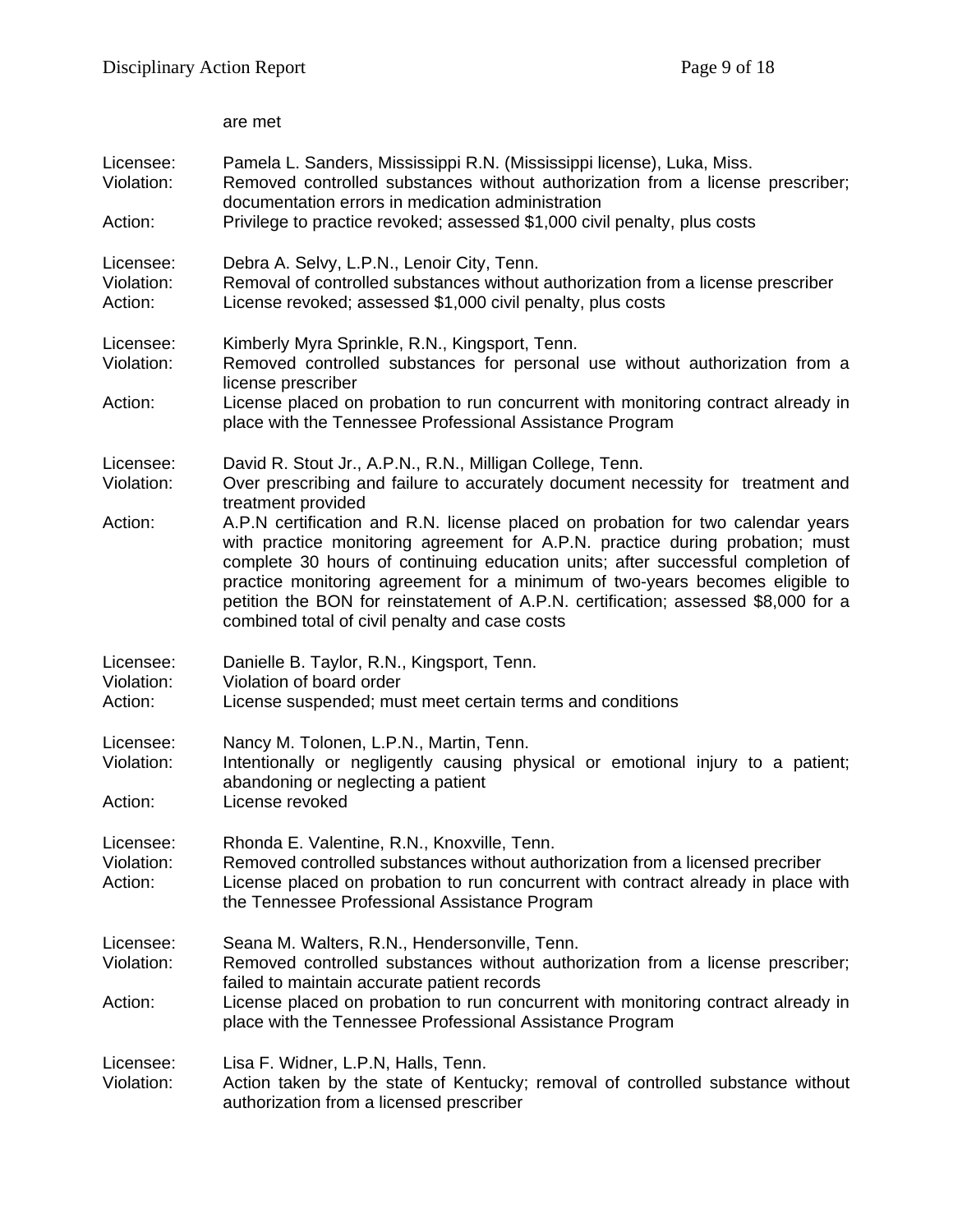|                                    | are met                                                                                                                                                                                                                                                                                                                                                                                                                                                                                                                                                                                                                                           |
|------------------------------------|---------------------------------------------------------------------------------------------------------------------------------------------------------------------------------------------------------------------------------------------------------------------------------------------------------------------------------------------------------------------------------------------------------------------------------------------------------------------------------------------------------------------------------------------------------------------------------------------------------------------------------------------------|
| Licensee:<br>Violation:<br>Action: | Pamela L. Sanders, Mississippi R.N. (Mississippi license), Luka, Miss.<br>Removed controlled substances without authorization from a license prescriber;<br>documentation errors in medication administration<br>Privilege to practice revoked; assessed \$1,000 civil penalty, plus costs                                                                                                                                                                                                                                                                                                                                                        |
| Licensee:<br>Violation:<br>Action: | Debra A. Selvy, L.P.N., Lenoir City, Tenn.<br>Removal of controlled substances without authorization from a license prescriber<br>License revoked; assessed \$1,000 civil penalty, plus costs                                                                                                                                                                                                                                                                                                                                                                                                                                                     |
| Licensee:<br>Violation:<br>Action: | Kimberly Myra Sprinkle, R.N., Kingsport, Tenn.<br>Removed controlled substances for personal use without authorization from a<br>license prescriber<br>License placed on probation to run concurrent with monitoring contract already in<br>place with the Tennessee Professional Assistance Program                                                                                                                                                                                                                                                                                                                                              |
| Licensee:<br>Violation:<br>Action: | David R. Stout Jr., A.P.N., R.N., Milligan College, Tenn.<br>Over prescribing and failure to accurately document necessity for treatment and<br>treatment provided<br>A.P.N certification and R.N. license placed on probation for two calendar years<br>with practice monitoring agreement for A.P.N. practice during probation; must<br>complete 30 hours of continuing education units; after successful completion of<br>practice monitoring agreement for a minimum of two-years becomes eligible to<br>petition the BON for reinstatement of A.P.N. certification; assessed \$8,000 for a<br>combined total of civil penalty and case costs |
| Licensee:<br>Violation:<br>Action: | Danielle B. Taylor, R.N., Kingsport, Tenn.<br>Violation of board order<br>License suspended; must meet certain terms and conditions                                                                                                                                                                                                                                                                                                                                                                                                                                                                                                               |
| Licensee:<br>Violation:<br>Action: | Nancy M. Tolonen, L.P.N., Martin, Tenn.<br>Intentionally or negligently causing physical or emotional injury to a patient;<br>abandoning or neglecting a patient<br>License revoked                                                                                                                                                                                                                                                                                                                                                                                                                                                               |
| Licensee:<br>Violation:<br>Action: | Rhonda E. Valentine, R.N., Knoxville, Tenn.<br>Removed controlled substances without authorization from a licensed precriber<br>License placed on probation to run concurrent with contract already in place with<br>the Tennessee Professional Assistance Program                                                                                                                                                                                                                                                                                                                                                                                |
| Licensee:<br>Violation:<br>Action: | Seana M. Walters, R.N., Hendersonville, Tenn.<br>Removed controlled substances without authorization from a license prescriber;<br>failed to maintain accurate patient records<br>License placed on probation to run concurrent with monitoring contract already in<br>place with the Tennessee Professional Assistance Program                                                                                                                                                                                                                                                                                                                   |
| Licensee:<br>Violation:            | Lisa F. Widner, L.P.N, Halls, Tenn.<br>Action taken by the state of Kentucky; removal of controlled substance without<br>authorization from a licensed prescriber                                                                                                                                                                                                                                                                                                                                                                                                                                                                                 |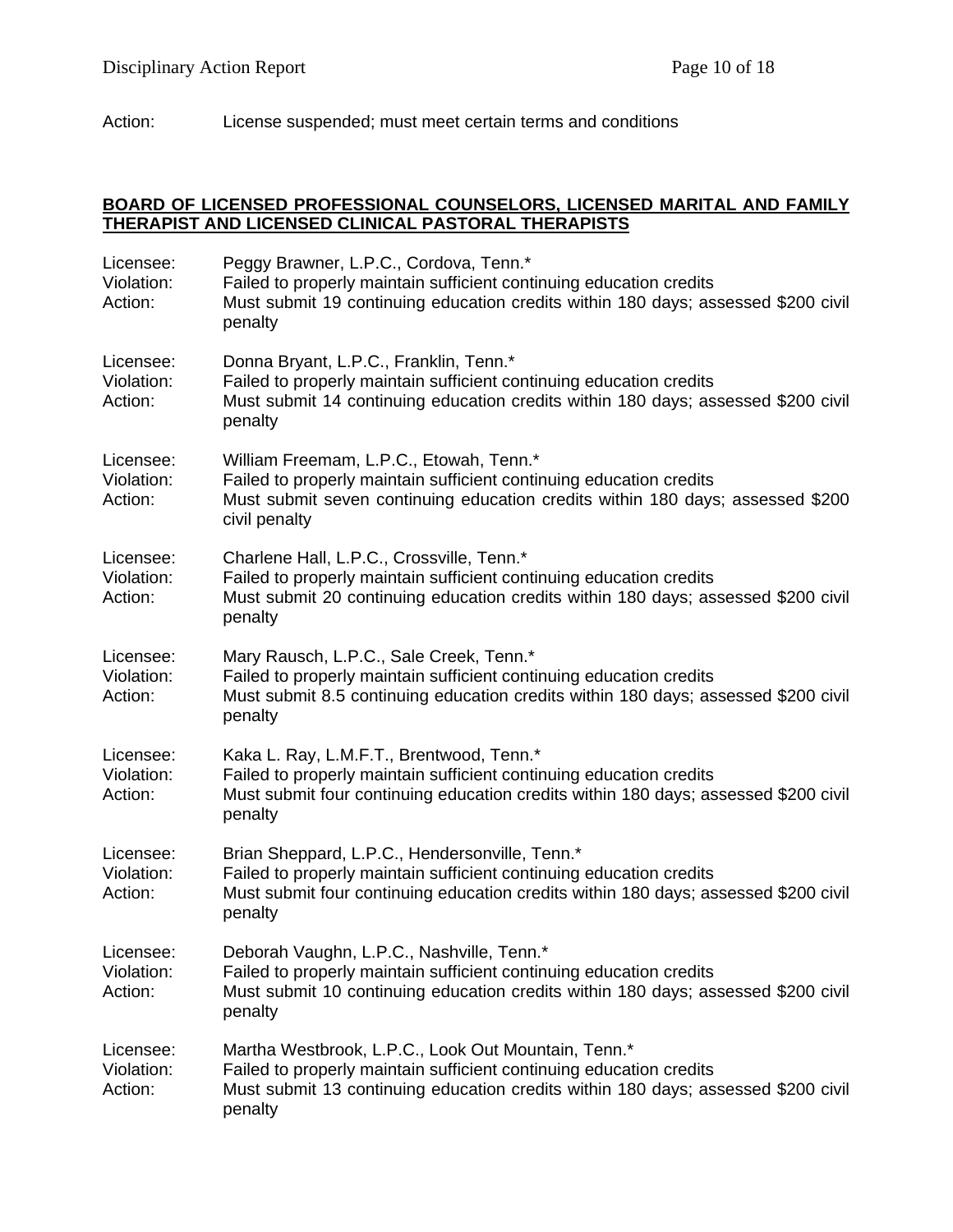Action: License suspended; must meet certain terms and conditions

#### **BOARD OF LICENSED PROFESSIONAL COUNSELORS, LICENSED MARITAL AND FAMILY THERAPIST AND LICENSED CLINICAL PASTORAL THERAPISTS**

| Licensee:<br>Violation:<br>Action: | Peggy Brawner, L.P.C., Cordova, Tenn.*<br>Failed to properly maintain sufficient continuing education credits<br>Must submit 19 continuing education credits within 180 days; assessed \$200 civil<br>penalty              |
|------------------------------------|----------------------------------------------------------------------------------------------------------------------------------------------------------------------------------------------------------------------------|
| Licensee:<br>Violation:<br>Action: | Donna Bryant, L.P.C., Franklin, Tenn.*<br>Failed to properly maintain sufficient continuing education credits<br>Must submit 14 continuing education credits within 180 days; assessed \$200 civil<br>penalty              |
| Licensee:<br>Violation:<br>Action: | William Freemam, L.P.C., Etowah, Tenn.*<br>Failed to properly maintain sufficient continuing education credits<br>Must submit seven continuing education credits within 180 days; assessed \$200<br>civil penalty          |
| Licensee:<br>Violation:<br>Action: | Charlene Hall, L.P.C., Crossville, Tenn.*<br>Failed to properly maintain sufficient continuing education credits<br>Must submit 20 continuing education credits within 180 days; assessed \$200 civil<br>penalty           |
| Licensee:<br>Violation:<br>Action: | Mary Rausch, L.P.C., Sale Creek, Tenn.*<br>Failed to properly maintain sufficient continuing education credits<br>Must submit 8.5 continuing education credits within 180 days; assessed \$200 civil<br>penalty            |
| Licensee:<br>Violation:<br>Action: | Kaka L. Ray, L.M.F.T., Brentwood, Tenn.*<br>Failed to properly maintain sufficient continuing education credits<br>Must submit four continuing education credits within 180 days; assessed \$200 civil<br>penalty          |
| Licensee:<br>Violation:<br>Action: | Brian Sheppard, L.P.C., Hendersonville, Tenn.*<br>Failed to properly maintain sufficient continuing education credits<br>Must submit four continuing education credits within 180 days; assessed \$200 civil<br>penalty    |
| Licensee:<br>Violation:<br>Action: | Deborah Vaughn, L.P.C., Nashville, Tenn.*<br>Failed to properly maintain sufficient continuing education credits<br>Must submit 10 continuing education credits within 180 days; assessed \$200 civil<br>penalty           |
| Licensee:<br>Violation:<br>Action: | Martha Westbrook, L.P.C., Look Out Mountain, Tenn.*<br>Failed to properly maintain sufficient continuing education credits<br>Must submit 13 continuing education credits within 180 days; assessed \$200 civil<br>penalty |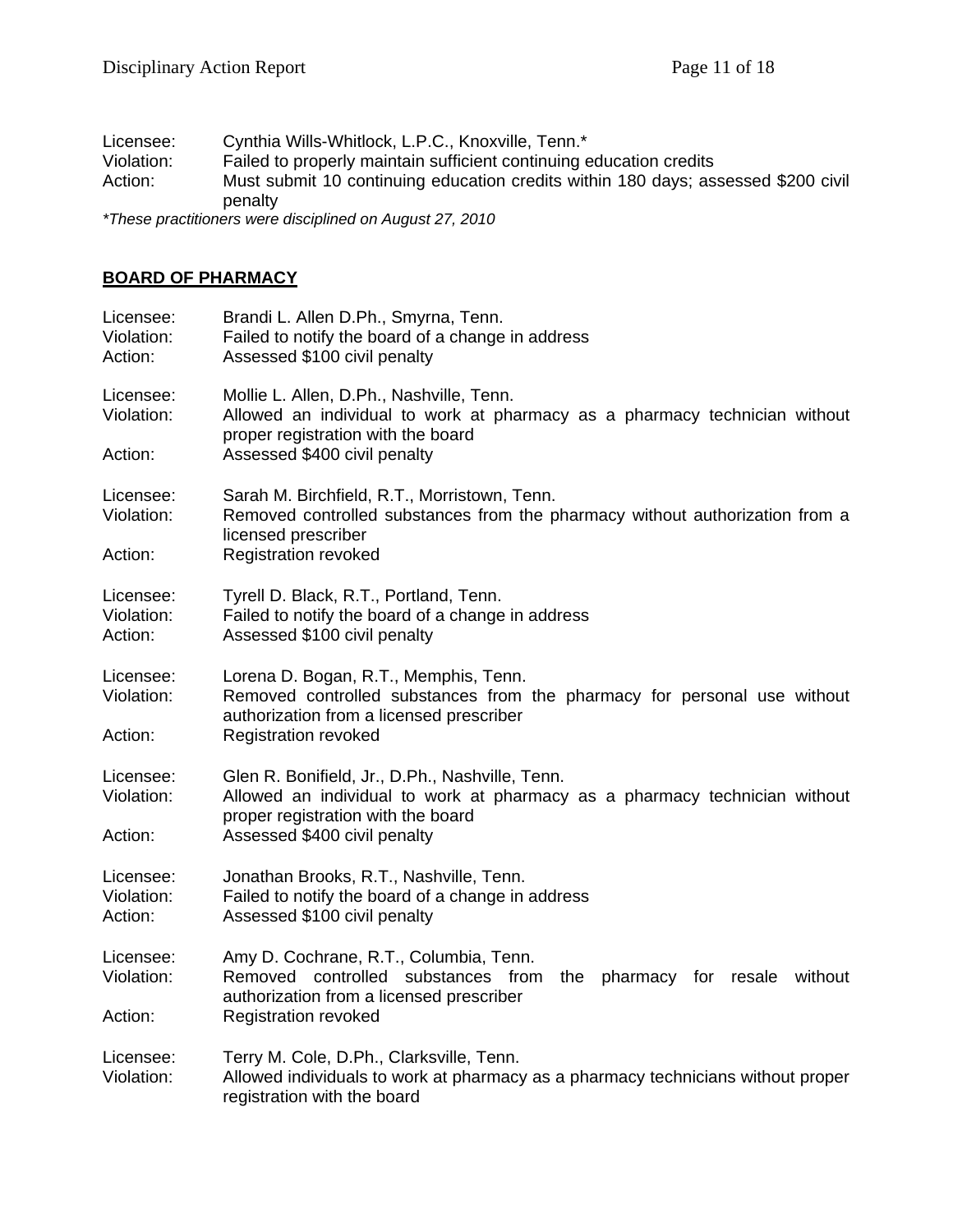Licensee: Cynthia Wills-Whitlock, L.P.C., Knoxville, Tenn.\* Violation: Failed to properly maintain sufficient continuing education credits<br>Action: Must submit 10 continuing education credits within 180 days; as Must submit 10 continuing education credits within 180 days; assessed \$200 civil penalty

*\*These practitioners were disciplined on August 27, 2010* 

#### **BOARD OF PHARMACY**

| Licensee:<br>Violation:<br>Action: | Brandi L. Allen D.Ph., Smyrna, Tenn.<br>Failed to notify the board of a change in address<br>Assessed \$100 civil penalty                                           |
|------------------------------------|---------------------------------------------------------------------------------------------------------------------------------------------------------------------|
| Licensee:<br>Violation:            | Mollie L. Allen, D.Ph., Nashville, Tenn.<br>Allowed an individual to work at pharmacy as a pharmacy technician without<br>proper registration with the board        |
| Action:                            | Assessed \$400 civil penalty                                                                                                                                        |
| Licensee:<br>Violation:            | Sarah M. Birchfield, R.T., Morristown, Tenn.<br>Removed controlled substances from the pharmacy without authorization from a<br>licensed prescriber                 |
| Action:                            | <b>Registration revoked</b>                                                                                                                                         |
| Licensee:<br>Violation:<br>Action: | Tyrell D. Black, R.T., Portland, Tenn.<br>Failed to notify the board of a change in address<br>Assessed \$100 civil penalty                                         |
| Licensee:<br>Violation:            | Lorena D. Bogan, R.T., Memphis, Tenn.<br>Removed controlled substances from the pharmacy for personal use without<br>authorization from a licensed prescriber       |
| Action:                            | <b>Registration revoked</b>                                                                                                                                         |
| Licensee:<br>Violation:            | Glen R. Bonifield, Jr., D.Ph., Nashville, Tenn.<br>Allowed an individual to work at pharmacy as a pharmacy technician without<br>proper registration with the board |
| Action:                            | Assessed \$400 civil penalty                                                                                                                                        |
| Licensee:<br>Violation:<br>Action: | Jonathan Brooks, R.T., Nashville, Tenn.<br>Failed to notify the board of a change in address<br>Assessed \$100 civil penalty                                        |
| Licensee:<br>Violation:            | Amy D. Cochrane, R.T., Columbia, Tenn.<br>Removed controlled substances from<br>the pharmacy for resale without<br>authorization from a licensed prescriber         |
| Action:                            | <b>Registration revoked</b>                                                                                                                                         |
| Licensee:<br>Violation:            | Terry M. Cole, D.Ph., Clarksville, Tenn.<br>Allowed individuals to work at pharmacy as a pharmacy technicians without proper<br>registration with the board         |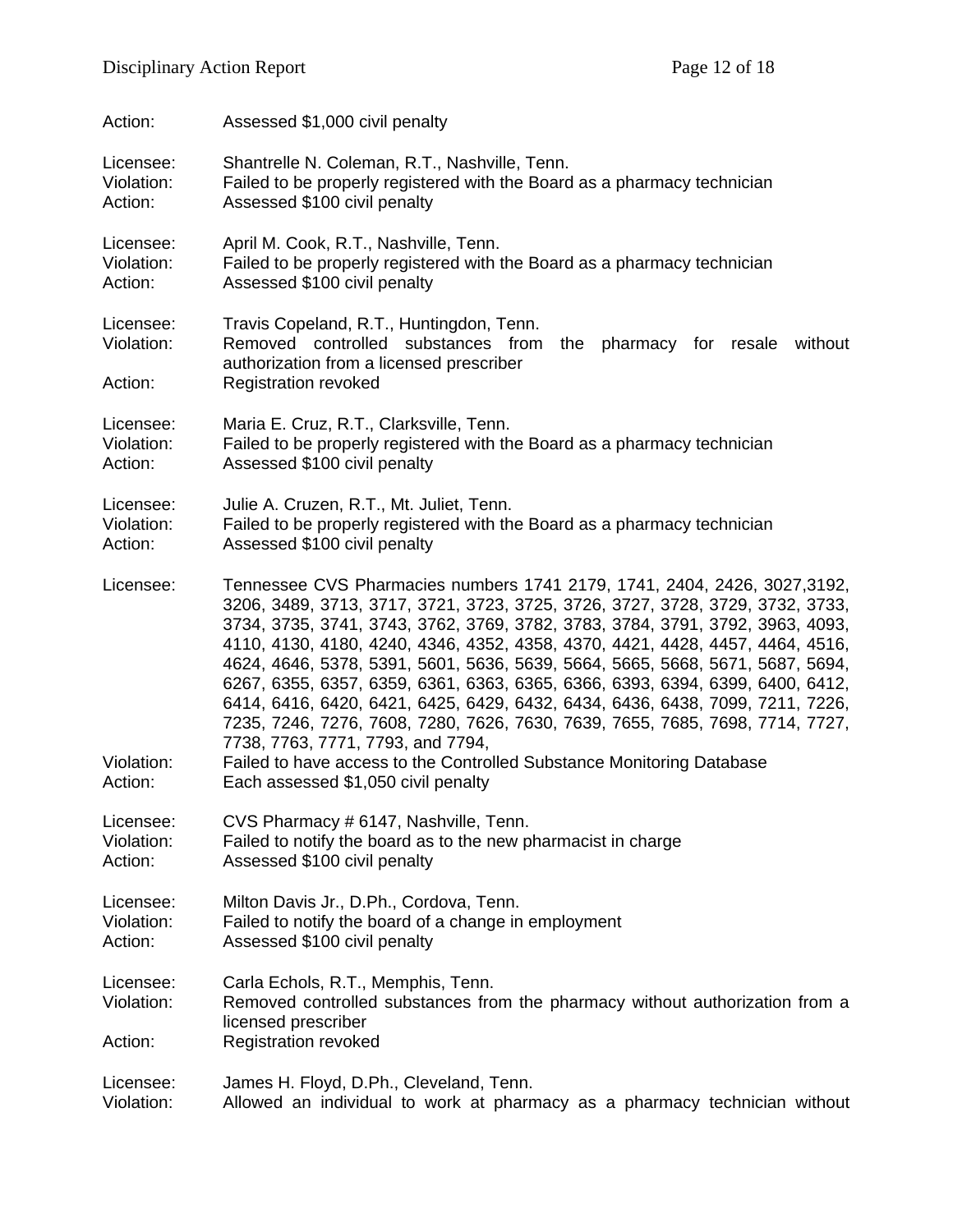| Action:                            | Assessed \$1,000 civil penalty                                                                                                                                                                                                                                                                                                                                                                                                                                                                                                                                                                                                                                                                                                                                                                                       |
|------------------------------------|----------------------------------------------------------------------------------------------------------------------------------------------------------------------------------------------------------------------------------------------------------------------------------------------------------------------------------------------------------------------------------------------------------------------------------------------------------------------------------------------------------------------------------------------------------------------------------------------------------------------------------------------------------------------------------------------------------------------------------------------------------------------------------------------------------------------|
| Licensee:                          | Shantrelle N. Coleman, R.T., Nashville, Tenn.                                                                                                                                                                                                                                                                                                                                                                                                                                                                                                                                                                                                                                                                                                                                                                        |
| Violation:                         | Failed to be properly registered with the Board as a pharmacy technician                                                                                                                                                                                                                                                                                                                                                                                                                                                                                                                                                                                                                                                                                                                                             |
| Action:                            | Assessed \$100 civil penalty                                                                                                                                                                                                                                                                                                                                                                                                                                                                                                                                                                                                                                                                                                                                                                                         |
| Licensee:                          | April M. Cook, R.T., Nashville, Tenn.                                                                                                                                                                                                                                                                                                                                                                                                                                                                                                                                                                                                                                                                                                                                                                                |
| Violation:                         | Failed to be properly registered with the Board as a pharmacy technician                                                                                                                                                                                                                                                                                                                                                                                                                                                                                                                                                                                                                                                                                                                                             |
| Action:                            | Assessed \$100 civil penalty                                                                                                                                                                                                                                                                                                                                                                                                                                                                                                                                                                                                                                                                                                                                                                                         |
| Licensee:<br>Violation:<br>Action: | Travis Copeland, R.T., Huntingdon, Tenn.<br>Removed controlled substances from<br>the<br>pharmacy for resale<br>without<br>authorization from a licensed prescriber<br><b>Registration revoked</b>                                                                                                                                                                                                                                                                                                                                                                                                                                                                                                                                                                                                                   |
| Licensee:                          | Maria E. Cruz, R.T., Clarksville, Tenn.                                                                                                                                                                                                                                                                                                                                                                                                                                                                                                                                                                                                                                                                                                                                                                              |
| Violation:                         | Failed to be properly registered with the Board as a pharmacy technician                                                                                                                                                                                                                                                                                                                                                                                                                                                                                                                                                                                                                                                                                                                                             |
| Action:                            | Assessed \$100 civil penalty                                                                                                                                                                                                                                                                                                                                                                                                                                                                                                                                                                                                                                                                                                                                                                                         |
| Licensee:                          | Julie A. Cruzen, R.T., Mt. Juliet, Tenn.                                                                                                                                                                                                                                                                                                                                                                                                                                                                                                                                                                                                                                                                                                                                                                             |
| Violation:                         | Failed to be properly registered with the Board as a pharmacy technician                                                                                                                                                                                                                                                                                                                                                                                                                                                                                                                                                                                                                                                                                                                                             |
| Action:                            | Assessed \$100 civil penalty                                                                                                                                                                                                                                                                                                                                                                                                                                                                                                                                                                                                                                                                                                                                                                                         |
| Licensee:<br>Violation:<br>Action: | Tennessee CVS Pharmacies numbers 1741 2179, 1741, 2404, 2426, 3027,3192,<br>3206, 3489, 3713, 3717, 3721, 3723, 3725, 3726, 3727, 3728, 3729, 3732, 3733,<br>3734, 3735, 3741, 3743, 3762, 3769, 3782, 3783, 3784, 3791, 3792, 3963, 4093,<br>4110, 4130, 4180, 4240, 4346, 4352, 4358, 4370, 4421, 4428, 4457, 4464, 4516,<br>4624, 4646, 5378, 5391, 5601, 5636, 5639, 5664, 5665, 5668, 5671, 5687, 5694,<br>6267, 6355, 6357, 6359, 6361, 6363, 6365, 6366, 6393, 6394, 6399, 6400, 6412,<br>6414, 6416, 6420, 6421, 6425, 6429, 6432, 6434, 6436, 6438, 7099, 7211, 7226,<br>7235, 7246, 7276, 7608, 7280, 7626, 7630, 7639, 7655, 7685, 7698, 7714, 7727,<br>7738, 7763, 7771, 7793, and 7794,<br>Failed to have access to the Controlled Substance Monitoring Database<br>Each assessed \$1,050 civil penalty |
| Licensee:                          | CVS Pharmacy # 6147, Nashville, Tenn.                                                                                                                                                                                                                                                                                                                                                                                                                                                                                                                                                                                                                                                                                                                                                                                |
| Violation:                         | Failed to notify the board as to the new pharmacist in charge                                                                                                                                                                                                                                                                                                                                                                                                                                                                                                                                                                                                                                                                                                                                                        |
| Action:                            | Assessed \$100 civil penalty                                                                                                                                                                                                                                                                                                                                                                                                                                                                                                                                                                                                                                                                                                                                                                                         |
| Licensee:                          | Milton Davis Jr., D.Ph., Cordova, Tenn.                                                                                                                                                                                                                                                                                                                                                                                                                                                                                                                                                                                                                                                                                                                                                                              |
| Violation:                         | Failed to notify the board of a change in employment                                                                                                                                                                                                                                                                                                                                                                                                                                                                                                                                                                                                                                                                                                                                                                 |
| Action:                            | Assessed \$100 civil penalty                                                                                                                                                                                                                                                                                                                                                                                                                                                                                                                                                                                                                                                                                                                                                                                         |
| Licensee:<br>Violation:<br>Action: | Carla Echols, R.T., Memphis, Tenn.<br>Removed controlled substances from the pharmacy without authorization from a<br>licensed prescriber<br><b>Registration revoked</b>                                                                                                                                                                                                                                                                                                                                                                                                                                                                                                                                                                                                                                             |
| Licensee:                          | James H. Floyd, D.Ph., Cleveland, Tenn.                                                                                                                                                                                                                                                                                                                                                                                                                                                                                                                                                                                                                                                                                                                                                                              |
| Violation:                         | Allowed an individual to work at pharmacy as a pharmacy technician without                                                                                                                                                                                                                                                                                                                                                                                                                                                                                                                                                                                                                                                                                                                                           |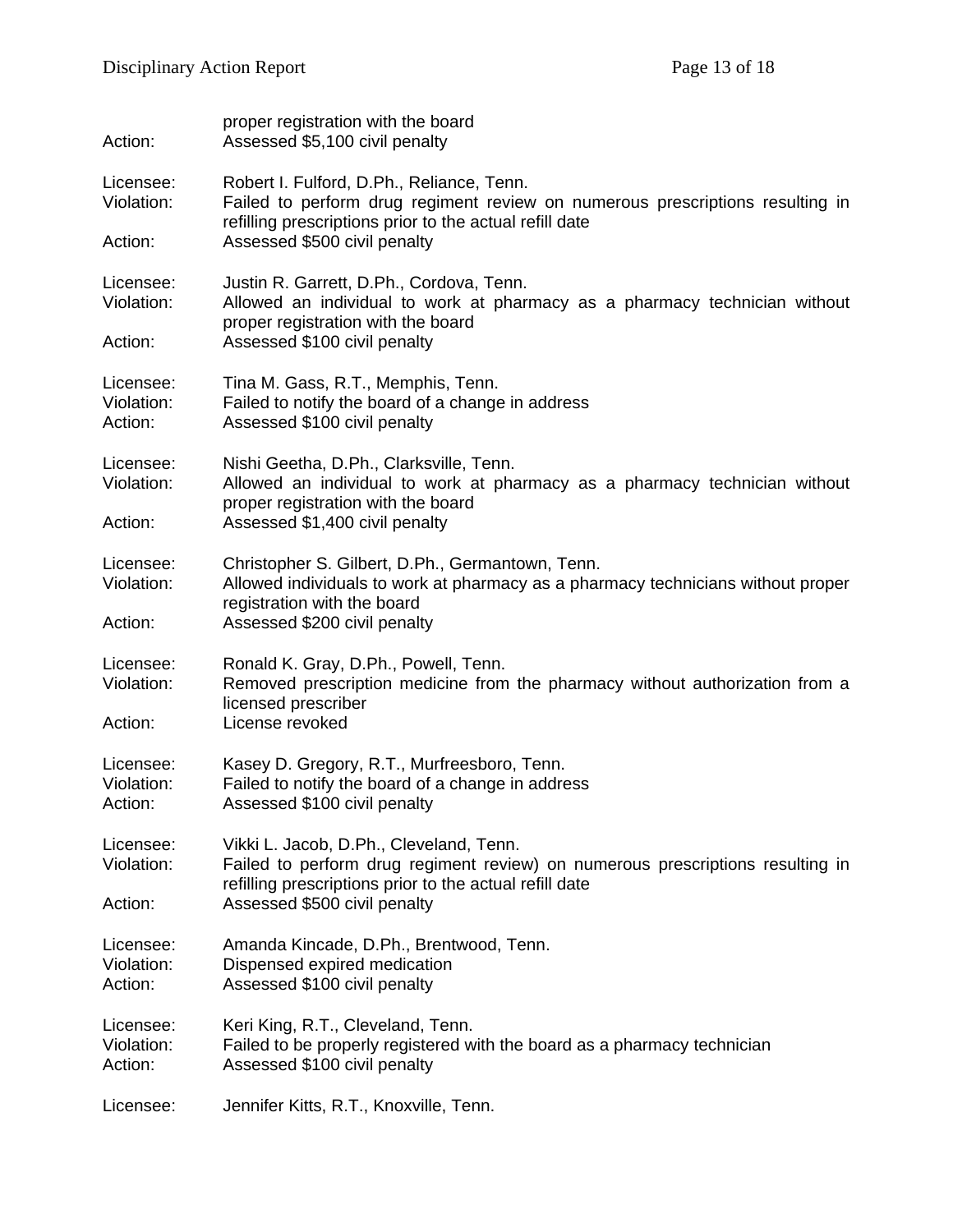| Action:                            | proper registration with the board<br>Assessed \$5,100 civil penalty                                                                                                                                                  |
|------------------------------------|-----------------------------------------------------------------------------------------------------------------------------------------------------------------------------------------------------------------------|
| Licensee:<br>Violation:<br>Action: | Robert I. Fulford, D.Ph., Reliance, Tenn.<br>Failed to perform drug regiment review on numerous prescriptions resulting in<br>refilling prescriptions prior to the actual refill date<br>Assessed \$500 civil penalty |
| Licensee:<br>Violation:<br>Action: | Justin R. Garrett, D.Ph., Cordova, Tenn.<br>Allowed an individual to work at pharmacy as a pharmacy technician without<br>proper registration with the board<br>Assessed \$100 civil penalty                          |
| Licensee:<br>Violation:<br>Action: | Tina M. Gass, R.T., Memphis, Tenn.<br>Failed to notify the board of a change in address<br>Assessed \$100 civil penalty                                                                                               |
| Licensee:<br>Violation:<br>Action: | Nishi Geetha, D.Ph., Clarksville, Tenn.<br>Allowed an individual to work at pharmacy as a pharmacy technician without<br>proper registration with the board<br>Assessed \$1,400 civil penalty                         |
| Licensee:<br>Violation:<br>Action: | Christopher S. Gilbert, D.Ph., Germantown, Tenn.<br>Allowed individuals to work at pharmacy as a pharmacy technicians without proper<br>registration with the board<br>Assessed \$200 civil penalty                   |
| Licensee:<br>Violation:<br>Action: | Ronald K. Gray, D.Ph., Powell, Tenn.<br>Removed prescription medicine from the pharmacy without authorization from a<br>licensed prescriber<br>License revoked                                                        |
| Licensee:<br>Violation:<br>Action: | Kasey D. Gregory, R.T., Murfreesboro, Tenn.<br>Failed to notify the board of a change in address<br>Assessed \$100 civil penalty                                                                                      |
| Licensee:<br>Violation:<br>Action: | Vikki L. Jacob, D.Ph., Cleveland, Tenn.<br>Failed to perform drug regiment review) on numerous prescriptions resulting in<br>refilling prescriptions prior to the actual refill date<br>Assessed \$500 civil penalty  |
| Licensee:<br>Violation:<br>Action: | Amanda Kincade, D.Ph., Brentwood, Tenn.<br>Dispensed expired medication<br>Assessed \$100 civil penalty                                                                                                               |
| Licensee:<br>Violation:<br>Action: | Keri King, R.T., Cleveland, Tenn.<br>Failed to be properly registered with the board as a pharmacy technician<br>Assessed \$100 civil penalty                                                                         |
| Licensee:                          | Jennifer Kitts, R.T., Knoxville, Tenn.                                                                                                                                                                                |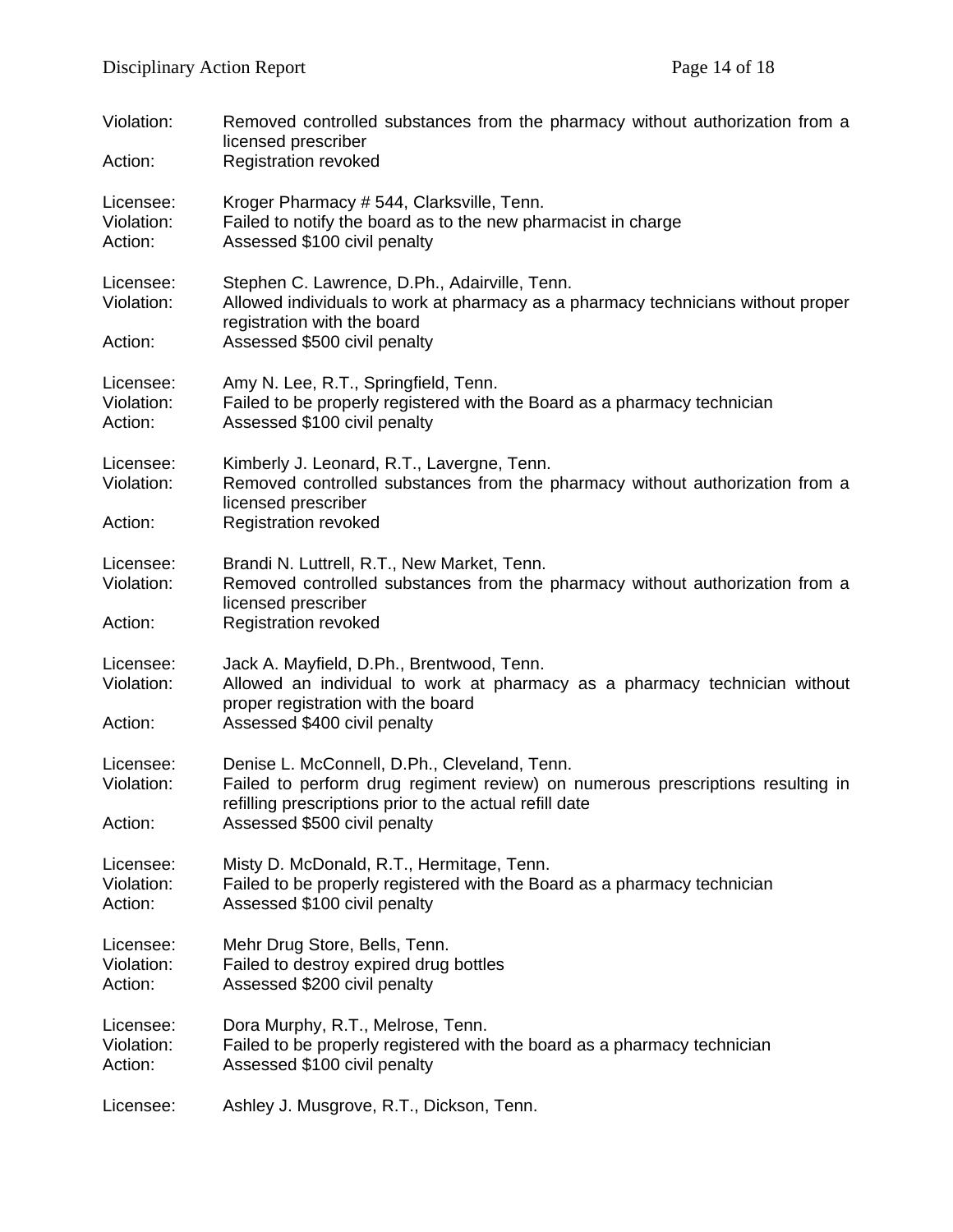| Violation:<br>Action:              | Removed controlled substances from the pharmacy without authorization from a<br>licensed prescriber<br><b>Registration revoked</b>                                                                                        |
|------------------------------------|---------------------------------------------------------------------------------------------------------------------------------------------------------------------------------------------------------------------------|
| Licensee:<br>Violation:<br>Action: | Kroger Pharmacy # 544, Clarksville, Tenn.<br>Failed to notify the board as to the new pharmacist in charge<br>Assessed \$100 civil penalty                                                                                |
| Licensee:<br>Violation:<br>Action: | Stephen C. Lawrence, D.Ph., Adairville, Tenn.<br>Allowed individuals to work at pharmacy as a pharmacy technicians without proper<br>registration with the board<br>Assessed \$500 civil penalty                          |
| Licensee:<br>Violation:<br>Action: | Amy N. Lee, R.T., Springfield, Tenn.<br>Failed to be properly registered with the Board as a pharmacy technician<br>Assessed \$100 civil penalty                                                                          |
| Licensee:<br>Violation:<br>Action: | Kimberly J. Leonard, R.T., Lavergne, Tenn.<br>Removed controlled substances from the pharmacy without authorization from a<br>licensed prescriber<br><b>Registration revoked</b>                                          |
| Licensee:<br>Violation:<br>Action: | Brandi N. Luttrell, R.T., New Market, Tenn.<br>Removed controlled substances from the pharmacy without authorization from a<br>licensed prescriber<br><b>Registration revoked</b>                                         |
| Licensee:<br>Violation:<br>Action: | Jack A. Mayfield, D.Ph., Brentwood, Tenn.<br>Allowed an individual to work at pharmacy as a pharmacy technician without<br>proper registration with the board<br>Assessed \$400 civil penalty                             |
| Licensee:<br>Violation:<br>Action: | Denise L. McConnell, D.Ph., Cleveland, Tenn.<br>Failed to perform drug regiment review) on numerous prescriptions resulting in<br>refilling prescriptions prior to the actual refill date<br>Assessed \$500 civil penalty |
| Licensee:<br>Violation:<br>Action: | Misty D. McDonald, R.T., Hermitage, Tenn.<br>Failed to be properly registered with the Board as a pharmacy technician<br>Assessed \$100 civil penalty                                                                     |
| Licensee:<br>Violation:<br>Action: | Mehr Drug Store, Bells, Tenn.<br>Failed to destroy expired drug bottles<br>Assessed \$200 civil penalty                                                                                                                   |
| Licensee:<br>Violation:<br>Action: | Dora Murphy, R.T., Melrose, Tenn.<br>Failed to be properly registered with the board as a pharmacy technician<br>Assessed \$100 civil penalty                                                                             |
| Licensee:                          | Ashley J. Musgrove, R.T., Dickson, Tenn.                                                                                                                                                                                  |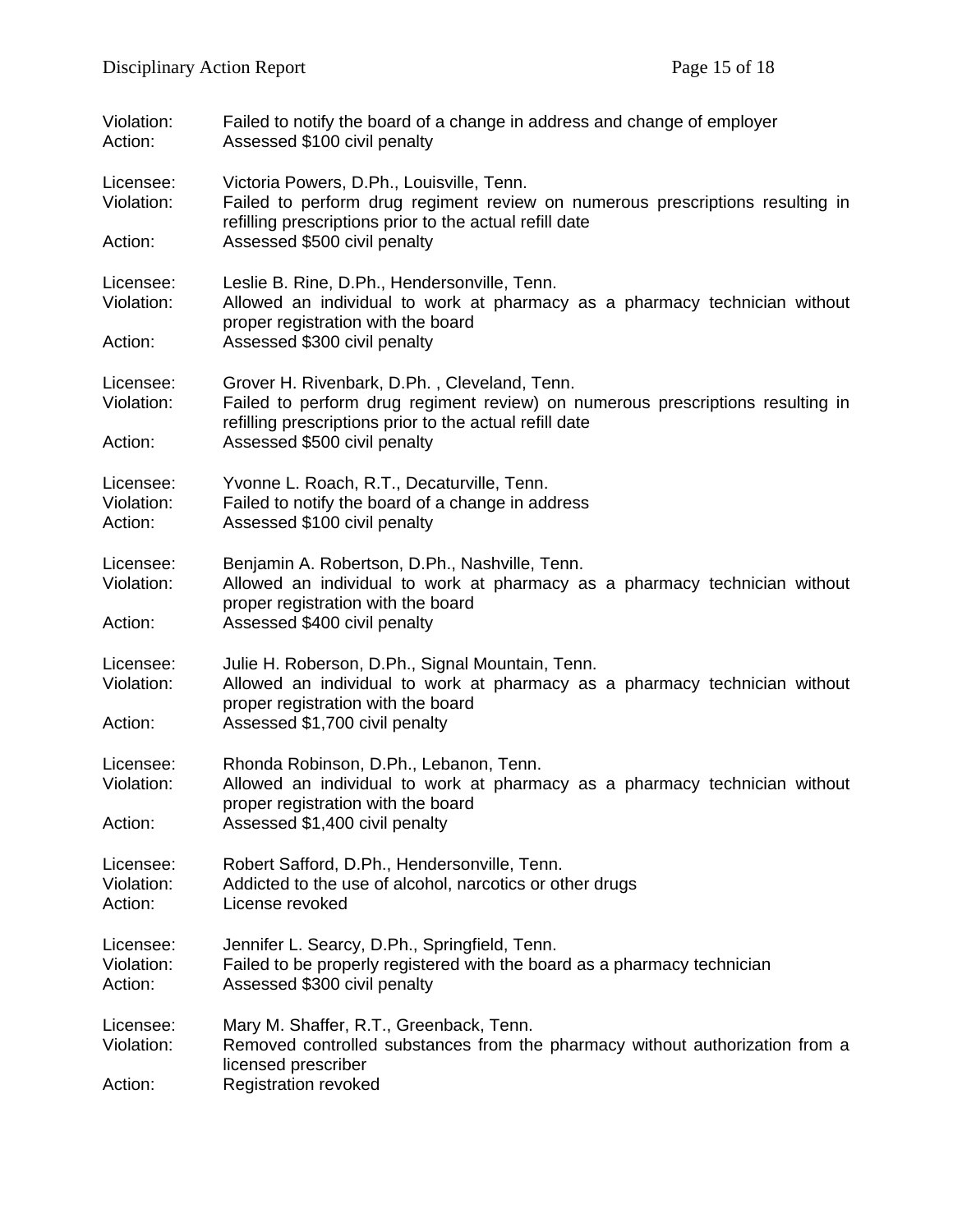| Violation:<br>Action:              | Failed to notify the board of a change in address and change of employer<br>Assessed \$100 civil penalty                                                                                                                  |
|------------------------------------|---------------------------------------------------------------------------------------------------------------------------------------------------------------------------------------------------------------------------|
| Licensee:<br>Violation:<br>Action: | Victoria Powers, D.Ph., Louisville, Tenn.<br>Failed to perform drug regiment review on numerous prescriptions resulting in<br>refilling prescriptions prior to the actual refill date<br>Assessed \$500 civil penalty     |
|                                    |                                                                                                                                                                                                                           |
| Licensee:<br>Violation:            | Leslie B. Rine, D.Ph., Hendersonville, Tenn.<br>Allowed an individual to work at pharmacy as a pharmacy technician without<br>proper registration with the board                                                          |
| Action:                            | Assessed \$300 civil penalty                                                                                                                                                                                              |
| Licensee:<br>Violation:<br>Action: | Grover H. Rivenbark, D.Ph., Cleveland, Tenn.<br>Failed to perform drug regiment review) on numerous prescriptions resulting in<br>refilling prescriptions prior to the actual refill date<br>Assessed \$500 civil penalty |
|                                    |                                                                                                                                                                                                                           |
| Licensee:<br>Violation:<br>Action: | Yvonne L. Roach, R.T., Decaturville, Tenn.<br>Failed to notify the board of a change in address<br>Assessed \$100 civil penalty                                                                                           |
| Licensee:<br>Violation:            | Benjamin A. Robertson, D.Ph., Nashville, Tenn.<br>Allowed an individual to work at pharmacy as a pharmacy technician without<br>proper registration with the board                                                        |
| Action:                            | Assessed \$400 civil penalty                                                                                                                                                                                              |
| Licensee:<br>Violation:            | Julie H. Roberson, D.Ph., Signal Mountain, Tenn.<br>Allowed an individual to work at pharmacy as a pharmacy technician without<br>proper registration with the board                                                      |
| Action:                            | Assessed \$1,700 civil penalty                                                                                                                                                                                            |
| Licensee:<br>Violation:            | Rhonda Robinson, D.Ph., Lebanon, Tenn.<br>Allowed an individual to work at pharmacy as a pharmacy technician without<br>proper registration with the board                                                                |
| Action:                            | Assessed \$1,400 civil penalty                                                                                                                                                                                            |
| Licensee:<br>Violation:<br>Action: | Robert Safford, D.Ph., Hendersonville, Tenn.<br>Addicted to the use of alcohol, narcotics or other drugs<br>License revoked                                                                                               |
| Licensee:<br>Violation:<br>Action: | Jennifer L. Searcy, D.Ph., Springfield, Tenn.<br>Failed to be properly registered with the board as a pharmacy technician<br>Assessed \$300 civil penalty                                                                 |
| Licensee:<br>Violation:<br>Action: | Mary M. Shaffer, R.T., Greenback, Tenn.<br>Removed controlled substances from the pharmacy without authorization from a<br>licensed prescriber<br><b>Registration revoked</b>                                             |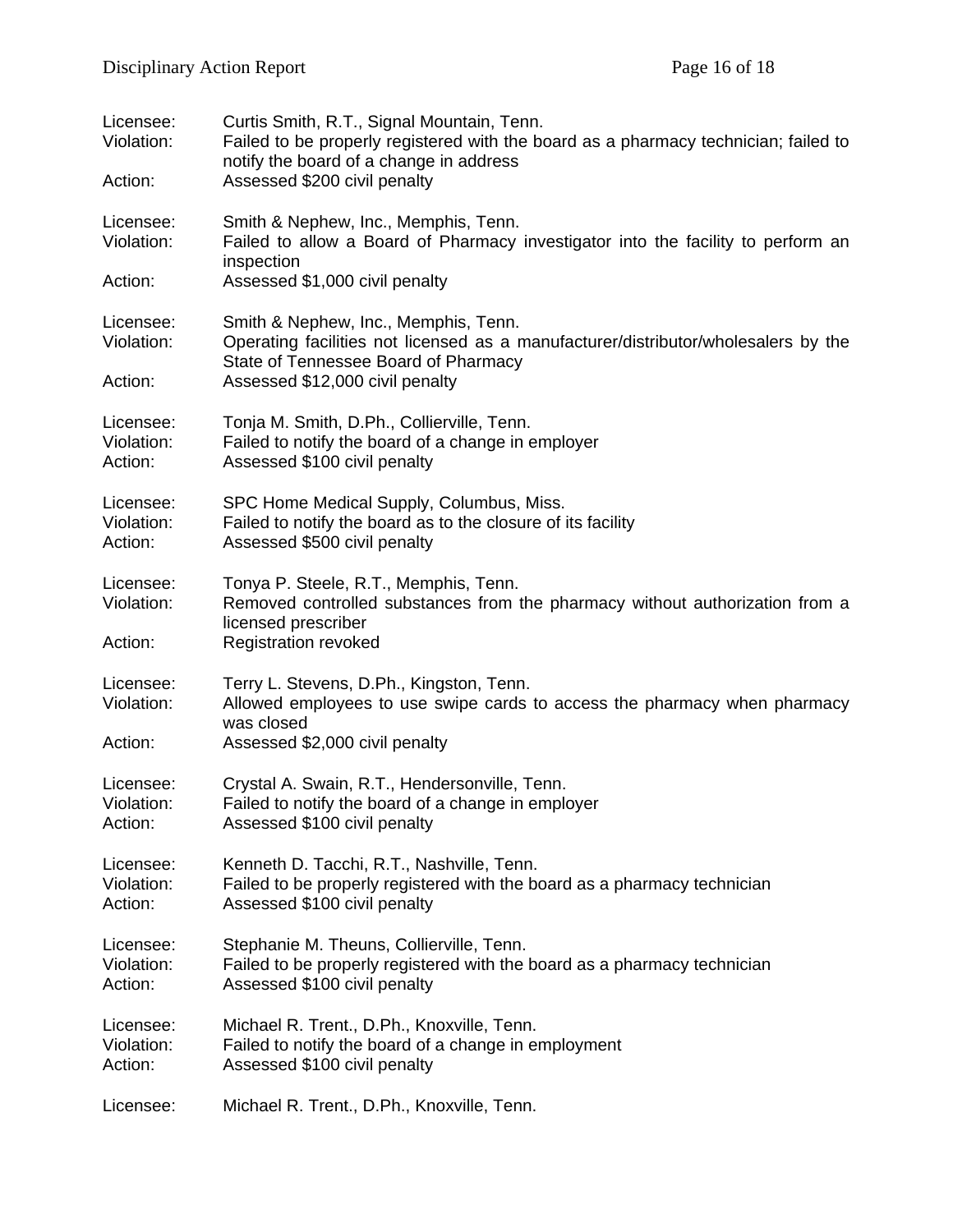| Licensee:<br>Violation:<br>Action: | Curtis Smith, R.T., Signal Mountain, Tenn.<br>Failed to be properly registered with the board as a pharmacy technician; failed to<br>notify the board of a change in address<br>Assessed \$200 civil penalty |
|------------------------------------|--------------------------------------------------------------------------------------------------------------------------------------------------------------------------------------------------------------|
| Licensee:<br>Violation:<br>Action: | Smith & Nephew, Inc., Memphis, Tenn.<br>Failed to allow a Board of Pharmacy investigator into the facility to perform an<br>inspection<br>Assessed \$1,000 civil penalty                                     |
| Licensee:<br>Violation:<br>Action: | Smith & Nephew, Inc., Memphis, Tenn.<br>Operating facilities not licensed as a manufacturer/distributor/wholesalers by the<br>State of Tennessee Board of Pharmacy<br>Assessed \$12,000 civil penalty        |
| Licensee:                          | Tonja M. Smith, D.Ph., Collierville, Tenn.                                                                                                                                                                   |
| Violation:                         | Failed to notify the board of a change in employer                                                                                                                                                           |
| Action:                            | Assessed \$100 civil penalty                                                                                                                                                                                 |
| Licensee:                          | SPC Home Medical Supply, Columbus, Miss.                                                                                                                                                                     |
| Violation:                         | Failed to notify the board as to the closure of its facility                                                                                                                                                 |
| Action:                            | Assessed \$500 civil penalty                                                                                                                                                                                 |
| Licensee:<br>Violation:<br>Action: | Tonya P. Steele, R.T., Memphis, Tenn.<br>Removed controlled substances from the pharmacy without authorization from a<br>licensed prescriber<br><b>Registration revoked</b>                                  |
| Licensee:<br>Violation:<br>Action: | Terry L. Stevens, D.Ph., Kingston, Tenn.<br>Allowed employees to use swipe cards to access the pharmacy when pharmacy<br>was closed<br>Assessed \$2,000 civil penalty                                        |
| Licensee:                          | Crystal A. Swain, R.T., Hendersonville, Tenn.                                                                                                                                                                |
| Violation:                         | Failed to notify the board of a change in employer                                                                                                                                                           |
| Action:                            | Assessed \$100 civil penalty                                                                                                                                                                                 |
| Licensee:                          | Kenneth D. Tacchi, R.T., Nashville, Tenn.                                                                                                                                                                    |
| Violation:                         | Failed to be properly registered with the board as a pharmacy technician                                                                                                                                     |
| Action:                            | Assessed \$100 civil penalty                                                                                                                                                                                 |
| Licensee:                          | Stephanie M. Theuns, Collierville, Tenn.                                                                                                                                                                     |
| Violation:                         | Failed to be properly registered with the board as a pharmacy technician                                                                                                                                     |
| Action:                            | Assessed \$100 civil penalty                                                                                                                                                                                 |
| Licensee:                          | Michael R. Trent., D.Ph., Knoxville, Tenn.                                                                                                                                                                   |
| Violation:                         | Failed to notify the board of a change in employment                                                                                                                                                         |
| Action:                            | Assessed \$100 civil penalty                                                                                                                                                                                 |
| Licensee:                          | Michael R. Trent., D.Ph., Knoxville, Tenn.                                                                                                                                                                   |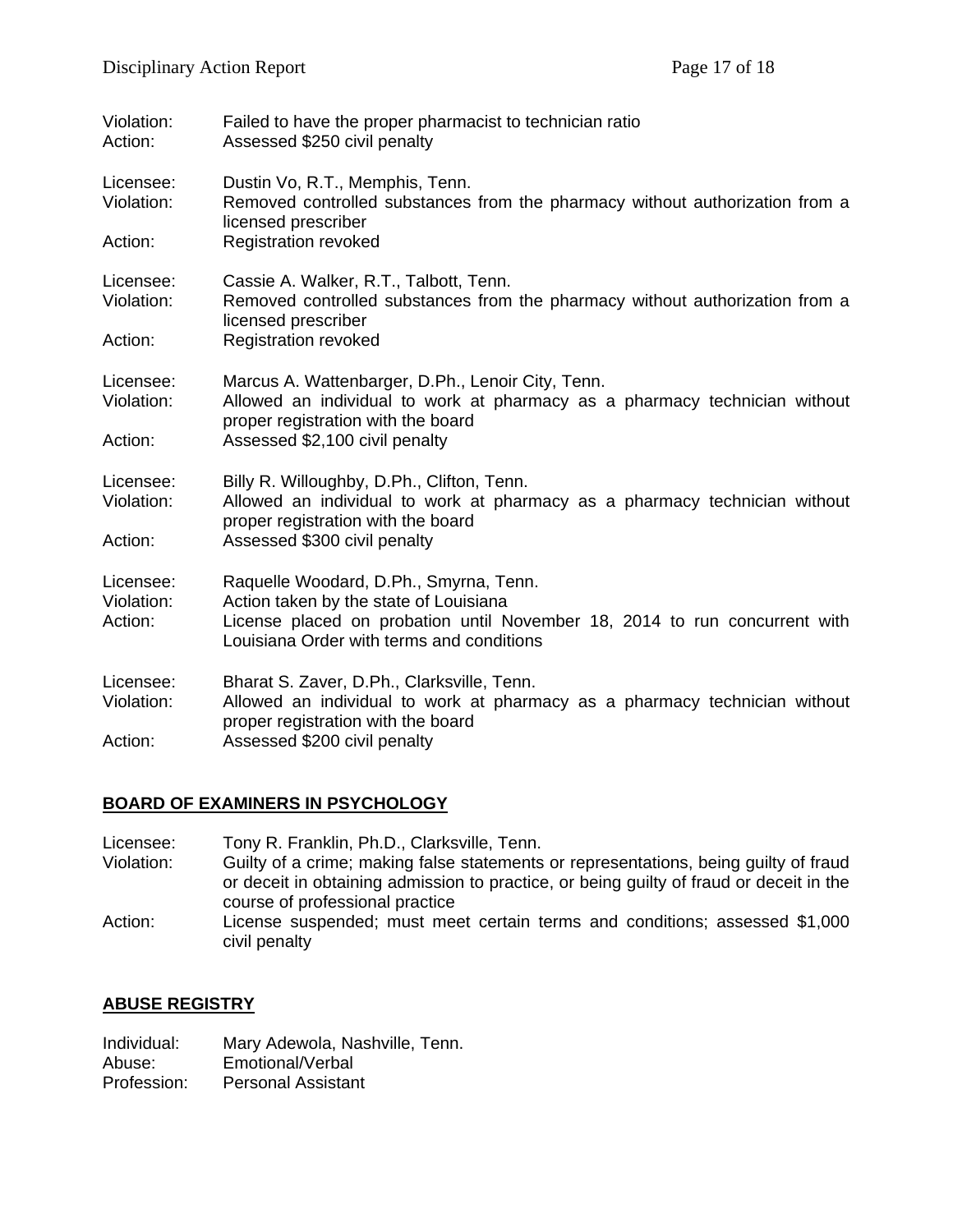| Violation:<br>Action:              | Failed to have the proper pharmacist to technician ratio<br>Assessed \$250 civil penalty                                                                                                                    |
|------------------------------------|-------------------------------------------------------------------------------------------------------------------------------------------------------------------------------------------------------------|
| Licensee:<br>Violation:            | Dustin Vo, R.T., Memphis, Tenn.<br>Removed controlled substances from the pharmacy without authorization from a<br>licensed prescriber                                                                      |
| Action:                            | <b>Registration revoked</b>                                                                                                                                                                                 |
| Licensee:<br>Violation:            | Cassie A. Walker, R.T., Talbott, Tenn.<br>Removed controlled substances from the pharmacy without authorization from a<br>licensed prescriber                                                               |
| Action:                            | <b>Registration revoked</b>                                                                                                                                                                                 |
| Licensee:<br>Violation:            | Marcus A. Wattenbarger, D.Ph., Lenoir City, Tenn.<br>Allowed an individual to work at pharmacy as a pharmacy technician without<br>proper registration with the board                                       |
| Action:                            | Assessed \$2,100 civil penalty                                                                                                                                                                              |
| Licensee:<br>Violation:            | Billy R. Willoughby, D.Ph., Clifton, Tenn.<br>Allowed an individual to work at pharmacy as a pharmacy technician without<br>proper registration with the board                                              |
| Action:                            | Assessed \$300 civil penalty                                                                                                                                                                                |
| Licensee:<br>Violation:<br>Action: | Raquelle Woodard, D.Ph., Smyrna, Tenn.<br>Action taken by the state of Louisiana<br>License placed on probation until November 18, 2014 to run concurrent with<br>Louisiana Order with terms and conditions |
| Licensee:<br>Violation:<br>Action: | Bharat S. Zaver, D.Ph., Clarksville, Tenn.<br>Allowed an individual to work at pharmacy as a pharmacy technician without<br>proper registration with the board<br>Assessed \$200 civil penalty              |

### **BOARD OF EXAMINERS IN PSYCHOLOGY**

Licensee: Tony R. Franklin, Ph.D., Clarksville, Tenn.<br>Violation: Guilty of a crime: making false statements Guilty of a crime; making false statements or representations, being guilty of fraud or deceit in obtaining admission to practice, or being guilty of fraud or deceit in the course of professional practice Action: License suspended; must meet certain terms and conditions; assessed \$1,000 civil penalty

### **ABUSE REGISTRY**

| Individual: | Mary Adewola, Nashville, Tenn. |
|-------------|--------------------------------|
| Abuse:      | Emotional/Verbal               |
| Profession: | <b>Personal Assistant</b>      |